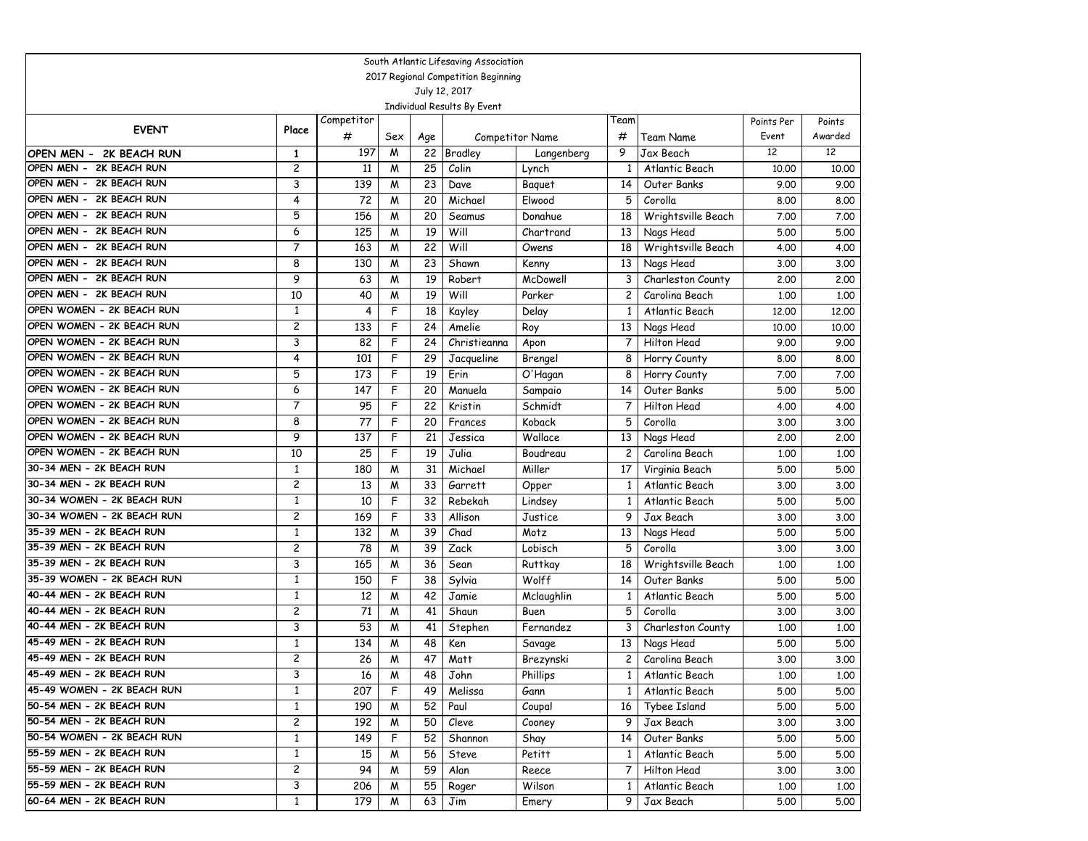|                                                        |                     |            |        |          | South Atlantic Lifesaving Association |                    |                    |                                  |              |              |  |
|--------------------------------------------------------|---------------------|------------|--------|----------|---------------------------------------|--------------------|--------------------|----------------------------------|--------------|--------------|--|
| 2017 Regional Competition Beginning<br>July 12, 2017   |                     |            |        |          |                                       |                    |                    |                                  |              |              |  |
|                                                        |                     |            |        |          |                                       |                    |                    |                                  |              |              |  |
|                                                        |                     |            |        |          | Individual Results By Event           |                    |                    |                                  |              |              |  |
| <b>EVENT</b>                                           | Place               | Competitor |        |          |                                       |                    | Team               |                                  | Points Per   | Points       |  |
|                                                        |                     | #          | Sex    | Age      |                                       | Competitor Name    | #                  | Team Name                        | Event        | Awarded      |  |
| OPEN MEN - 2K BEACH RUN                                | 1                   | 197        | M      | 22       | <b>Bradley</b>                        | Langenberg         | 9                  | Jax Beach                        | 12           | 12           |  |
| OPEN MEN - 2K BEACH RUN                                | 2                   | 11         | M      | 25       | Colin                                 | Lynch              | 1                  | Atlantic Beach                   | 10.00        | 10,00        |  |
| OPEN MEN - 2K BEACH RUN                                | 3                   | 139        | M      | 23       | Dave                                  | Baguet             | 14                 | Outer Banks                      | 9.00         | 9.00         |  |
| OPEN MEN - 2K BEACH RUN                                | 4                   | 72         | M      | 20       | Michael                               | Elwood             | 5                  | Corolla                          | 8.00         | 8.00         |  |
| OPEN MEN - 2K BEACH RUN                                | 5                   | 156        | M      | 20       | Seamus                                | Donahue            | 18                 | Wrightsville Beach               | 7.00         | 7.00         |  |
| OPEN MEN - 2K BEACH RUN                                | 6                   | 125        | M      | 19       | Will                                  | Chartrand          | 13                 | Nags Head                        | 5.00         | 5.00         |  |
| OPEN MEN - 2K BEACH RUN                                | $\overline{7}$      | 163        | M      | 22       | Will                                  | Owens              | 18                 | Wrightsville Beach               | 4.00         | 4.00         |  |
| OPEN MEN - 2K BEACH RUN                                | 8                   | 130        | M      | 23       | Shawn                                 | Kenny              | 13                 | Nags Head                        | 3.00         | 3.00         |  |
| OPEN MEN - 2K BEACH RUN                                | 9                   | 63         | M      | 19       | Robert                                | McDowell           | 3                  | Charleston County                | 2,00         | 2.00         |  |
| OPEN MEN - 2K BEACH RUN                                | 10                  | 40         | W      | 19       | Will                                  | Parker             | 2                  | Carolina Beach                   | 1,00         | 1,00         |  |
| OPEN WOMEN - 2K BEACH RUN                              | $\mathbf{1}$        | 4          | F      | 18       | Kayley                                | Delay              | 1                  | Atlantic Beach                   | 12.00        | 12,00        |  |
| OPEN WOMEN - 2K BEACH RUN                              | 2                   | 133        | F      | 24       | Amelie                                | Roy                | 13                 | Nags Head                        | 10.00        | 10.00        |  |
| OPEN WOMEN - 2K BEACH RUN                              | 3                   | 82         | F      | 24       | Christieanna                          | Apon               | 7                  | Hilton Head                      | 9.00         | 9.00         |  |
| OPEN WOMEN - 2K BEACH RUN                              | 4                   | 101        | F      | 29       | Jacqueline                            | Brengel            | 8                  | Horry County                     | 8.00         | 8.00         |  |
| OPEN WOMEN - 2K BEACH RUN                              | 5                   | 173        | F      | 19       | Erin                                  | O'Hagan            | 8                  | Horry County                     | 7.00         | 7.00         |  |
| OPEN WOMEN - 2K BEACH RUN<br>OPEN WOMEN - 2K BEACH RUN | 6<br>$\overline{7}$ | 147        | F      | 20       | Manuela                               | Sampaio            | 14                 | Outer Banks                      | 5.00         | 5.00         |  |
| OPEN WOMEN - 2K BEACH RUN                              |                     | 95         | F      | 22       | Kristin                               | Schmidt            | 7                  | Hilton Head                      | 4.00         | 4.00         |  |
| OPEN WOMEN - 2K BEACH RUN                              | 8                   | 77<br>137  | F<br>F | 20<br>21 | Frances                               | Koback<br>Wallace  | 5                  | Corolla                          | 3.00         | 3.00         |  |
| OPEN WOMEN - 2K BEACH RUN                              | 9<br>10             | 25         | F      | 19       | Jessica<br>Julia                      |                    | 13                 | Nags Head                        | 2,00         | 2,00         |  |
| 30-34 MEN - 2K BEACH RUN                               | $\mathbf{1}$        |            |        | 31       | Michael                               | Boudreau<br>Miller | $\overline{c}$     | Carolina Beach                   | 1,00         | 1,00         |  |
| 30-34 MEN - 2K BEACH RUN                               | 2                   | 180<br>13  | M<br>M | 33       | Garrett                               |                    | 17<br>$\mathbf{1}$ | Virginia Beach<br>Atlantic Beach | 5.00<br>3.00 | 5.00<br>3.00 |  |
| 30-34 WOMEN - 2K BEACH RUN                             | 1                   | 10         | F      | 32       | Rebekah                               | Opper<br>Lindsey   | 1                  | Atlantic Beach                   | 5.00         | 5.00         |  |
| 30-34 WOMEN - 2K BEACH RUN                             | 2                   | 169        | F      | 33       | Allison                               | Justice            | 9                  | Jax Beach                        | 3.00         | 3.00         |  |
| 35-39 MEN - 2K BEACH RUN                               | 1                   | 132        | M      | 39       | Chad                                  | Motz               | 13                 | Nags Head                        | 5.00         | 5.00         |  |
| 35-39 MEN - 2K BEACH RUN                               | $\overline{c}$      | 78         | M      | 39       | Zack                                  | Lobisch            | 5                  | Corolla                          | 3.00         | 3.00         |  |
| 35-39 MEN - 2K BEACH RUN                               | 3                   | 165        | M      | 36       | Sean                                  | <b>Ruttkay</b>     | 18                 | Wrightsville Beach               | 1,00         | 1,00         |  |
| 35-39 WOMEN - 2K BEACH RUN                             | $\mathbf{1}$        | 150        | F      | 38       | Sylvia                                | Wolff              | 14                 | Outer Banks                      | 5.00         | 5.00         |  |
| 40-44 MEN - 2K BEACH RUN                               | 1                   | 12         | M      | 42       | Jamie                                 | Mclaughlin         | $\mathbf{1}$       | Atlantic Beach                   | 5.00         | 5.00         |  |
| 40-44 MEN - 2K BEACH RUN                               | 2                   | 71         | M      | 41       | Shaun                                 | Buen               | 5                  | Corolla                          | 3.00         | 3.00         |  |
| 40-44 MEN - 2K BEACH RUN                               | 3                   | 53         | M      | 41       | Stephen                               | Fernandez          | 3                  | Charleston County                | 1,00         | 1,00         |  |
| 45-49 MEN - 2K BEACH RUN                               | 1                   | 134        | M      | 48       | Ken                                   | Savage             | 13                 | Nags Head                        | 5.00         | 5.00         |  |
| 45-49 MEN - 2K BEACH RUN                               | $\overline{c}$      | 26         | M      | 47       | Matt                                  | Brezynski          | 2                  | Carolina Beach                   | 3.00         | 3.00         |  |
| 45-49 MEN - 2K BEACH RUN                               | 3                   | 16         | M      | 48       | John                                  | Phillips           | $\mathbf{1}$       | Atlantic Beach                   | 1.00         | 1.00         |  |
| 45-49 WOMEN - 2K BEACH RUN                             | 1                   | 207        | F      | 49       | Melissa                               | Gann               | $\mathbf{1}$       | Atlantic Beach                   | 5.00         | 5.00         |  |
| 50-54 MEN - 2K BEACH RUN                               | 1                   | 190        | M      | 52       | Paul                                  | Coupal             | 16                 | Tybee Island                     | 5.00         | 5.00         |  |
| 50-54 MEN - 2K BEACH RUN                               | $\overline{c}$      | 192        | M      | 50       | Cleve                                 | Cooney             | 9                  | Jax Beach                        | 3.00         | 3.00         |  |
| 50-54 WOMEN - 2K BEACH RUN                             | $\mathbf{1}$        | 149        | F      | 52       | Shannon                               | Shay               | 14                 | Outer Banks                      | 5.00         | 5.00         |  |
| 55-59 MEN - 2K BEACH RUN                               | 1                   | 15         | M      | 56       | Steve                                 | Petitt             | 1                  | Atlantic Beach                   | 5.00         | 5.00         |  |
| 55-59 MEN - 2K BEACH RUN                               | $\overline{c}$      | 94         | M      | 59       | Alan                                  | Reece              | 7                  | Hilton Head                      | 3.00         | 3.00         |  |
| 55-59 MEN - 2K BEACH RUN                               | 3                   | 206        | M      | 55       | Roger                                 | Wilson             | $\mathbf{1}$       | Atlantic Beach                   | 1.00         | 1.00         |  |
| 60-64 MEN - 2K BEACH RUN                               | 1                   | 179        | M      | 63       | Jim                                   | Emery              | 9                  | Jax Beach                        | 5.00         | 5.00         |  |
|                                                        |                     |            |        |          |                                       |                    |                    |                                  |              |              |  |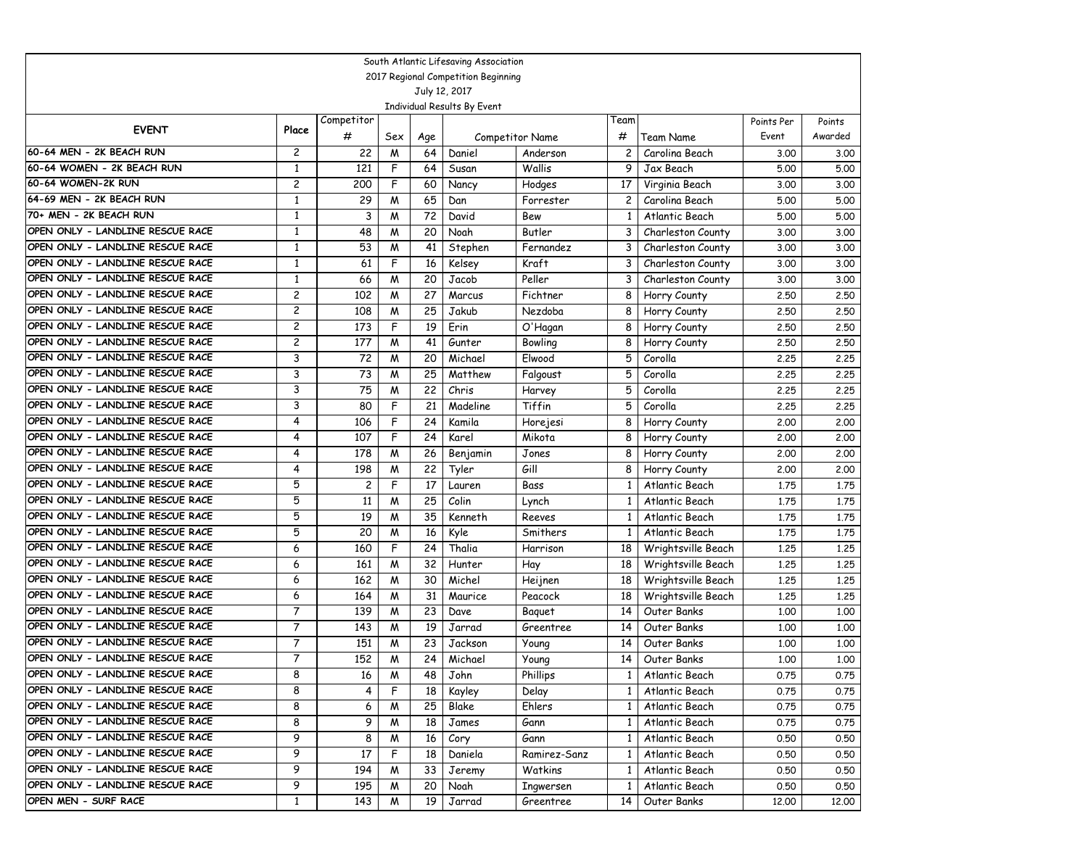|                                                                      |                |                         |     |                 | South Atlantic Lifesaving Association |                 |                |                    |            |         |
|----------------------------------------------------------------------|----------------|-------------------------|-----|-----------------|---------------------------------------|-----------------|----------------|--------------------|------------|---------|
|                                                                      |                |                         |     |                 | 2017 Regional Competition Beginning   |                 |                |                    |            |         |
|                                                                      |                |                         |     |                 | July 12, 2017                         |                 |                |                    |            |         |
|                                                                      |                |                         |     |                 | Individual Results By Event           |                 |                |                    |            |         |
| <b>EVENT</b>                                                         | Place          | Competitor              |     |                 |                                       |                 | Team           |                    | Points Per | Points  |
|                                                                      |                | #                       | Sex | Age             |                                       | Competitor Name | #              | Team Name          | Event      | Awarded |
| 60-64 MEN - 2K BEACH RUN                                             | 2              | 22                      | M   | 64              | Daniel                                | Anderson        | 2              | Carolina Beach     | 3.00       | 3.00    |
| 60-64 WOMEN - 2K BEACH RUN                                           | $\mathbf{1}$   | 121                     | F   | 64              | Susan                                 | Wallis          | 9              | Jax Beach          | 5.00       | 5.00    |
| 60-64 WOMEN-2K RUN                                                   | $\overline{c}$ | 200                     | F   | 60              | Nancy                                 | Hodges          | 17             | Virginia Beach     | 3.00       | 3.00    |
| 64-69 MEN - 2K BEACH RUN                                             | $\mathbf{1}$   | 29                      | W   | 65              | Dan                                   | Forrester       | 2              | Carolina Beach     | 5.00       | 5.00    |
| 70+ MEN - 2K BEACH RUN                                               | 1              | 3                       | M   | 72              | David                                 | Bew             | 1              | Atlantic Beach     | 5.00       | 5.00    |
| OPEN ONLY - LANDLINE RESCUE RACE                                     | 1              | 48                      | M   | 20              | Noah                                  | Butler          | 3              | Charleston County  | 3.00       | 3.00    |
| OPEN ONLY - LANDLINE RESCUE RACE                                     | 1              | 53                      | M   | 41              | Stephen                               | Fernandez       | 3              | Charleston County  | 3.00       | 3.00    |
| OPEN ONLY - LANDLINE RESCUE RACE                                     | $\mathbf{1}$   | 61                      | F   | 16              | Kelsey                                | Kraft           | 3              | Charleston County  | 3.00       | 3.00    |
| OPEN ONLY - LANDLINE RESCUE RACE                                     | $\mathbf{1}$   | 66                      | M   | 20              | Jacob                                 | Peller          | 3              | Charleston County  | 3.00       | 3.00    |
| OPEN ONLY - LANDLINE RESCUE RACE                                     | 2              | 102                     | M   | 27              | Marcus                                | Fichtner        | 8              | Horry County       | 2.50       | 2.50    |
| OPEN ONLY - LANDLINE RESCUE RACE                                     | $\mathbf{2}$   | 108                     | M   | 25              | Jakub                                 | Nezdoba         | 8              | Horry County       | 2.50       | 2.50    |
| OPEN ONLY - LANDLINE RESCUE RACE                                     | $\mathbf{2}$   | 173                     | F   | 19              | Erin                                  | O'Hagan         | 8              | Horry County       | 2.50       | 2.50    |
| OPEN ONLY - LANDLINE RESCUE RACE                                     | 2              | 177                     | M   | 41              | Gunter                                | Bowling         | 8              | Horry County       | 2.50       | 2.50    |
| OPEN ONLY - LANDLINE RESCUE RACE                                     | 3              | 72                      | W   | 20              | Michael                               | Elwood          | 5              | Corolla            | 2.25       | 2.25    |
| OPEN ONLY - LANDLINE RESCUE RACE                                     | 3              | 73                      | M   | 25              | Matthew                               | Falgoust        | 5              | Corolla            | 2.25       | 2.25    |
| OPEN ONLY - LANDLINE RESCUE RACE                                     | 3              | 75                      | M   | 22              | Chris                                 | Harvey          | 5              | Corolla            | 2.25       | 2.25    |
| OPEN ONLY - LANDLINE RESCUE RACE                                     | 3              | 80                      | F   | 21              | Madeline                              | Tiffin          | 5              | Corolla            | 2.25       | 2.25    |
| OPEN ONLY - LANDLINE RESCUE RACE                                     | 4              | 106                     | F   | 24              | Kamila                                | Horejesi        | 8              | Horry County       | 2,00       | 2.00    |
| OPEN ONLY - LANDLINE RESCUE RACE                                     | 4              | 107                     | F   | 24              | Karel                                 | Mikota          | 8              | Horry County       | 2,00       | 2.00    |
| OPEN ONLY - LANDLINE RESCUE RACE                                     | 4              | 178                     | M   | 26              | Benjamin                              | Jones           | 8              | Horry County       | 2,00       | 2,00    |
| OPEN ONLY - LANDLINE RESCUE RACE                                     | 4              | 198                     | м   | 22              | Tyler                                 | Gill            | 8              | Horry County       | 2,00       | 2,00    |
| OPEN ONLY - LANDLINE RESCUE RACE                                     | 5              | $\overline{\mathbf{c}}$ | F   | $\overline{17}$ | Lauren                                | Bass            | 1              | Atlantic Beach     | 1.75       | 1.75    |
| OPEN ONLY - LANDLINE RESCUE RACE                                     | 5              | 11                      | M   | 25              | Colin                                 | Lynch           | 1              | Atlantic Beach     | 1.75       | 1.75    |
| OPEN ONLY - LANDLINE RESCUE RACE                                     | 5              | 19                      | M   | 35              | Kenneth                               | Reeves          | 1              | Atlantic Beach     | 1.75       | 1.75    |
| OPEN ONLY - LANDLINE RESCUE RACE                                     | 5              | 20                      | M   | 16              | Kyle                                  | Smithers        | 1              | Atlantic Beach     | 1.75       | 1.75    |
| OPEN ONLY - LANDLINE RESCUE RACE                                     | 6              | 160                     | F   | 24              | Thalia                                | Harrison        | 18             | Wrightsville Beach | 1,25       | 1.25    |
| OPEN ONLY - LANDLINE RESCUE RACE                                     | 6              | 161                     | м   | 32              | Hunter                                | Hay             | 18             | Wrightsville Beach | 1.25       | 1.25    |
| OPEN ONLY - LANDLINE RESCUE RACE                                     | 6              | 162                     | M   | 30              | Michel                                | Heijnen         | 18             | Wrightsville Beach | 1,25       | 1,25    |
| OPEN ONLY - LANDLINE RESCUE RACE<br>OPEN ONLY - LANDLINE RESCUE RACE | 6              | 164                     | M   | 31              | Maurice                               | Peacock         | 18             | Wrightsville Beach | 1,25       | 1.25    |
| OPEN ONLY - LANDLINE RESCUE RACE                                     | 7<br>7         | 139                     | M   | 23              | Dave                                  | Baguet          | 14             | Outer Banks        | 1,00       | 1,00    |
| OPEN ONLY - LANDLINE RESCUE RACE                                     | 7              | 143                     | M   | 19              | Jarrad                                | Greentree       | 14             | Outer Banks        | 1,00       | 1,00    |
| OPEN ONLY - LANDLINE RESCUE RACE                                     | 7              | 151                     | M   | 23              | Jackson                               | Young           | 14             | Outer Banks        | 1,00       | 1.00    |
|                                                                      |                | 152                     | м   | 24              | Michael                               | Young           | 14             | Outer Banks        | 1,00       | 1,00    |
| OPEN ONLY - LANDLINE RESCUE RACE                                     | 8              | 16                      | M   | 48              | John                                  | Phillips        | 1 <sub>1</sub> | Atlantic Beach     | 0.75       | 0.75    |
| OPEN ONLY - LANDLINE RESCUE RACE<br>OPEN ONLY - LANDLINE RESCUE RACE | 8              | 4                       | F   | 18              | Kayley                                | Delay           | $\mathbf{1}$   | Atlantic Beach     | 0.75       | 0.75    |
| OPEN ONLY - LANDLINE RESCUE RACE                                     | 8              | 6                       | M   | 25              | Blake                                 | Ehlers          | $\mathbf{1}$   | Atlantic Beach     | 0.75       | 0.75    |
| OPEN ONLY - LANDLINE RESCUE RACE                                     | 8              | 9                       | M   | 18              | James                                 | Gann            | 1              | Atlantic Beach     | 0.75       | 0.75    |
|                                                                      | 9              | 8                       | M   | 16              | Cory                                  | Gann            | 1              | Atlantic Beach     | 0.50       | 0.50    |
| OPEN ONLY - LANDLINE RESCUE RACE                                     | 9              | 17                      | F   | 18              | Daniela                               | Ramirez-Sanz    | 1              | Atlantic Beach     | 0.50       | 0.50    |
| OPEN ONLY - LANDLINE RESCUE RACE                                     | 9              | 194                     | M   | 33              | Jeremy                                | Watkins         | 1              | Atlantic Beach     | 0.50       | 0.50    |
| OPEN ONLY - LANDLINE RESCUE RACE                                     | 9              | 195                     | M   | 20              | Noah                                  | Ingwersen       |                | Atlantic Beach     | 0.50       | 0.50    |
| OPEN MEN - SURF RACE                                                 | $\mathbf{1}$   | 143                     | M   | 19              | Jarrad                                | Greentree       | 14             | Outer Banks        | 12.00      | 12.00   |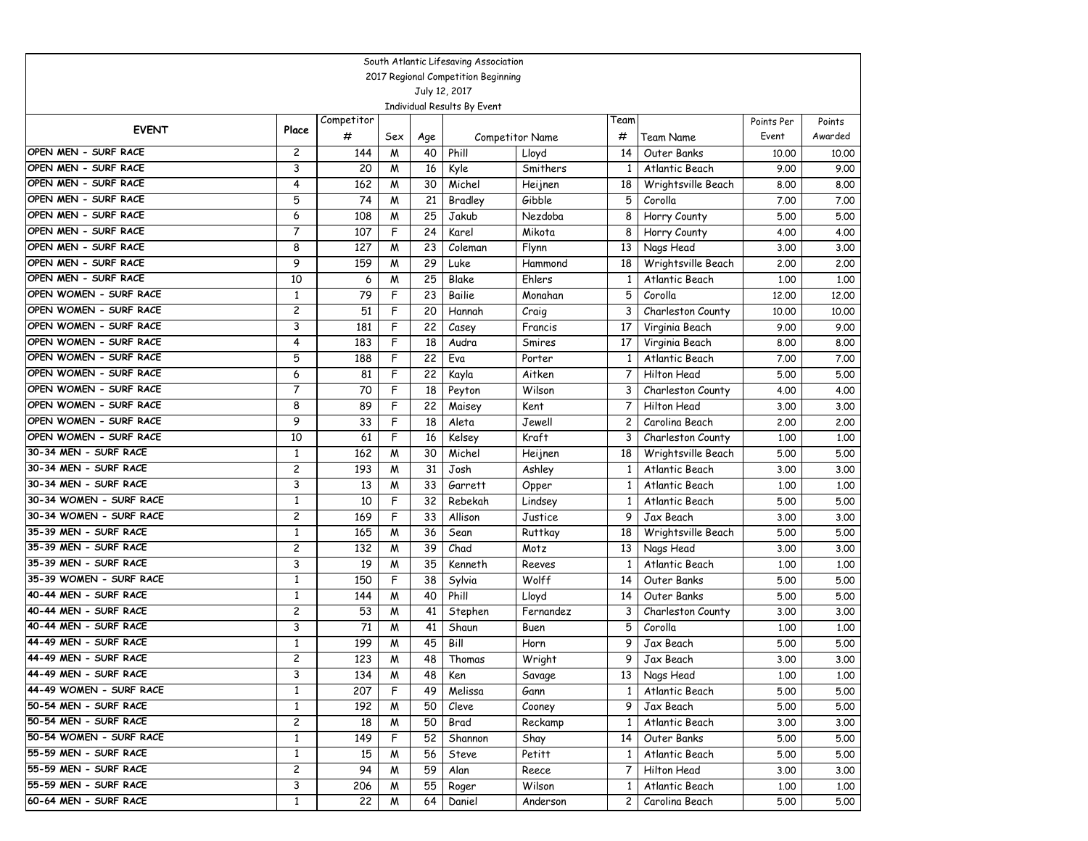|                                              |                                                      |            |        |          | South Atlantic Lifesaving Association |                  |              |                                      |               |               |  |  |
|----------------------------------------------|------------------------------------------------------|------------|--------|----------|---------------------------------------|------------------|--------------|--------------------------------------|---------------|---------------|--|--|
|                                              | 2017 Regional Competition Beginning<br>July 12, 2017 |            |        |          |                                       |                  |              |                                      |               |               |  |  |
|                                              |                                                      |            |        |          |                                       |                  |              |                                      |               |               |  |  |
|                                              |                                                      |            |        |          | Individual Results By Event           |                  |              |                                      |               |               |  |  |
| <b>EVENT</b>                                 | Place                                                | Competitor |        |          |                                       |                  | Team         |                                      | Points Per    | Points        |  |  |
|                                              |                                                      | #          | Sex    | Age      |                                       | Competitor Name  | #            | Team Name                            | Event         | Awarded       |  |  |
| OPEN MEN - SURF RACE                         | 2                                                    | 144        | M      | 40       | Phill                                 | Lloyd            | 14           | Outer Banks                          | 10.00         | 10.00         |  |  |
| OPEN MEN - SURF RACE                         | 3                                                    | 20         | M      | 16       | Kyle                                  | Smithers         | 1            | Atlantic Beach                       | 9.00          | 9.00          |  |  |
| OPEN MEN - SURF RACE                         | 4                                                    | 162        | W      | 30       | Michel                                | Heijnen          | 18           | Wrightsville Beach                   | 8.00          | 8.00          |  |  |
| OPEN MEN - SURF RACE                         | 5                                                    | 74         | W      | 21       | Bradley                               | Gibble           | 5            | Corolla                              | 7.00          | 7.00          |  |  |
| OPEN MEN - SURF RACE<br>OPEN MEN - SURF RACE | 6<br>$\overline{7}$                                  | 108        | W      | 25       | Jakub                                 | Nezdoba          | 8            | Horry County                         | 5.00          | 5.00          |  |  |
| OPEN MEN - SURF RACE                         |                                                      | 107        | F      | 24       | Karel                                 | Mikota           | 8            | Horry County                         | 4.00          | 4.00          |  |  |
| OPEN MEN - SURF RACE                         | 8<br>9                                               | 127<br>159 | W<br>W | 23<br>29 | Coleman<br>Luke                       | Flynn<br>Hammond | 13<br>18     | Nags Head                            | 3.00<br>2,00  | 3.00<br>2,00  |  |  |
| OPEN MEN - SURF RACE                         | 10                                                   |            |        | 25       | Blake                                 | Ehlers           | 1            | Wrightsville Beach<br>Atlantic Beach |               |               |  |  |
| OPEN WOMEN - SURF RACE                       | $\mathbf{1}$                                         | 6<br>79    | W<br>F | 23       | Bailie                                | Monahan          | 5            | Corolla                              | 1.00<br>12,00 | 1.00<br>12.00 |  |  |
| OPEN WOMEN - SURF RACE                       | $\overline{c}$                                       | 51         | F      | 20       | Hannah                                | Craig            | 3            | Charleston County                    | 10.00         | 10.00         |  |  |
| OPEN WOMEN - SURF RACE                       | 3                                                    | 181        | F      | 22       | Casey                                 | Francis          | 17           | Virginia Beach                       | 9.00          | 9.00          |  |  |
| OPEN WOMEN - SURF RACE                       | 4                                                    | 183        | F      | 18       | Audra                                 | Smires           | 17           | Virginia Beach                       | 8.00          | 8.00          |  |  |
| OPEN WOMEN - SURF RACE                       | 5                                                    | 188        | F      | 22       | Eva                                   | Porter           | 1            | Atlantic Beach                       | 7.00          | 7.00          |  |  |
| OPEN WOMEN - SURF RACE                       | 6                                                    | 81         | F      | 22       | Kayla                                 | Aitken           | 7            | Hilton Head                          | 5.00          | 5.00          |  |  |
| OPEN WOMEN - SURF RACE                       | $\overline{7}$                                       | 70         | F      | 18       | Peyton                                | Wilson           | 3            | Charleston County                    | 4.00          | 4.00          |  |  |
| OPEN WOMEN - SURF RACE                       | 8                                                    | 89         | F      | 22       | Maisey                                | Kent             | 7            | Hilton Head                          | 3.00          | 3.00          |  |  |
| OPEN WOMEN - SURF RACE                       | 9                                                    | 33         | F      | 18       | Aleta                                 | Jewell           | 2            | Carolina Beach                       | 2,00          | 2,00          |  |  |
| OPEN WOMEN - SURF RACE                       | 10                                                   | 61         | F      | 16       | Kelsey                                | <b>Kraft</b>     | 3            | Charleston County                    | 1,00          | 1,00          |  |  |
| 30-34 MEN - SURF RACE                        | $\mathbf{1}$                                         | 162        | W      | 30       | Michel                                | Heijnen          | 18           | Wrightsville Beach                   | 5.00          | 5.00          |  |  |
| 30-34 MEN - SURF RACE                        | $\overline{c}$                                       | 193        | W      | 31       | Josh                                  | Ashley           | 1            | Atlantic Beach                       | 3.00          | 3.00          |  |  |
| 30-34 MEN - SURF RACE                        | 3                                                    | 13         | W      | 33       | Garrett                               | Opper            | 1            | Atlantic Beach                       | 1,00          | 1.00          |  |  |
| 30-34 WOMEN - SURF RACE                      | $\mathbf{1}$                                         | 10         | F      | 32       | Rebekah                               | Lindsey          | 1            | Atlantic Beach                       | 5.00          | 5.00          |  |  |
| 30-34 WOMEN - SURF RACE                      | $\overline{c}$                                       | 169        | F      | 33       | Allison                               | Justice          | 9            | Jax Beach                            | 3.00          | 3.00          |  |  |
| 35-39 MEN - SURF RACE                        | $\mathbf{1}$                                         | 165        | M      | 36       | Sean                                  | <b>Ruttkay</b>   | 18           | Wrightsville Beach                   | 5.00          | 5.00          |  |  |
| 35-39 MEN - SURF RACE                        | $\overline{c}$                                       | 132        | M      | 39       | Chad                                  | Motz             | 13           | Nags Head                            | 3.00          | 3.00          |  |  |
| 35-39 MEN - SURF RACE                        | 3                                                    | 19         | W      | 35       | Kenneth                               | Reeves           | 1            | Atlantic Beach                       | 1,00          | 1,00          |  |  |
| 35-39 WOMEN - SURF RACE                      | $\mathbf{1}$                                         | 150        | F      | 38       | Sylvia                                | Wolff            | 14           | Outer Banks                          | 5.00          | 5.00          |  |  |
| 40-44 MEN - SURF RACE                        | $\mathbf{1}$                                         | 144        | W      | 40       | Phill                                 | Lloyd            | 14           | Outer Banks                          | 5.00          | 5.00          |  |  |
| 40-44 MEN - SURF RACE                        | 2                                                    | 53         | W      | 41       | Stephen                               | Fernandez        | 3            | Charleston County                    | 3.00          | 3.00          |  |  |
| 40-44 MEN - SURF RACE                        | 3                                                    | 71         | M      | 41       | Shaun                                 | Buen             | 5            | Corolla                              | 1,00          | 1.00          |  |  |
| 44-49 MEN - SURF RACE                        | $\mathbf{1}$                                         | 199        | M      | 45       | Bill                                  | Horn             | 9            | Jax Beach                            | 5.00          | 5.00          |  |  |
| 44-49 MEN - SURF RACE                        | $\overline{c}$                                       | 123        | W      | 48       | Thomas                                | Wright           | 9            | Jax Beach                            | 3.00          | 3.00          |  |  |
| 44-49 MEN - SURF RACE                        | 3                                                    | 134        | M      | 48       | Ken                                   | Savage           |              | 13 Nags Head                         | 1.00          | 1.00          |  |  |
| 44-49 WOMEN - SURF RACE                      | $\mathbf{1}$                                         | 207        | F      | 49       | Melissa                               | Gann             | $\mathbf{1}$ | Atlantic Beach                       | 5.00          | 5.00          |  |  |
| 50-54 MEN - SURF RACE                        | $\mathbf{1}$                                         | 192        | M      | 50       | Cleve                                 | Cooney           | 9            | Jax Beach                            | 5.00          | 5.00          |  |  |
| 50-54 MEN - SURF RACE                        | $\overline{c}$                                       | 18         | M      | 50       | Brad                                  | Reckamp          | 1            | Atlantic Beach                       | 3.00          | 3.00          |  |  |
| 50-54 WOMEN - SURF RACE                      | $\mathbf{1}$                                         | 149        | F      | 52       | Shannon                               | Shay             | 14           | Outer Banks                          | 5.00          | 5.00          |  |  |
| 55-59 MEN - SURF RACE                        | $\mathbf{1}$                                         | 15         | M      | 56       | Steve                                 | Petitt           | $\mathbf{1}$ | Atlantic Beach                       | 5.00          | 5.00          |  |  |
| 55-59 MEN - SURF RACE                        | $\overline{c}$                                       | 94         | M      | 59       | Alan                                  | Reece            | 7            | Hilton Head                          | 3.00          | 3.00          |  |  |
| 55-59 MEN - SURF RACE                        | 3                                                    | 206        | M      | 55       | Roger                                 | Wilson           | $\mathbf{1}$ | Atlantic Beach                       | 1.00          | 1.00          |  |  |
| 60-64 MEN - SURF RACE                        | $\mathbf{1}$                                         | 22         | M      | 64       | Daniel                                | Anderson         | 2            | Carolina Beach                       | 5.00          | 5.00          |  |  |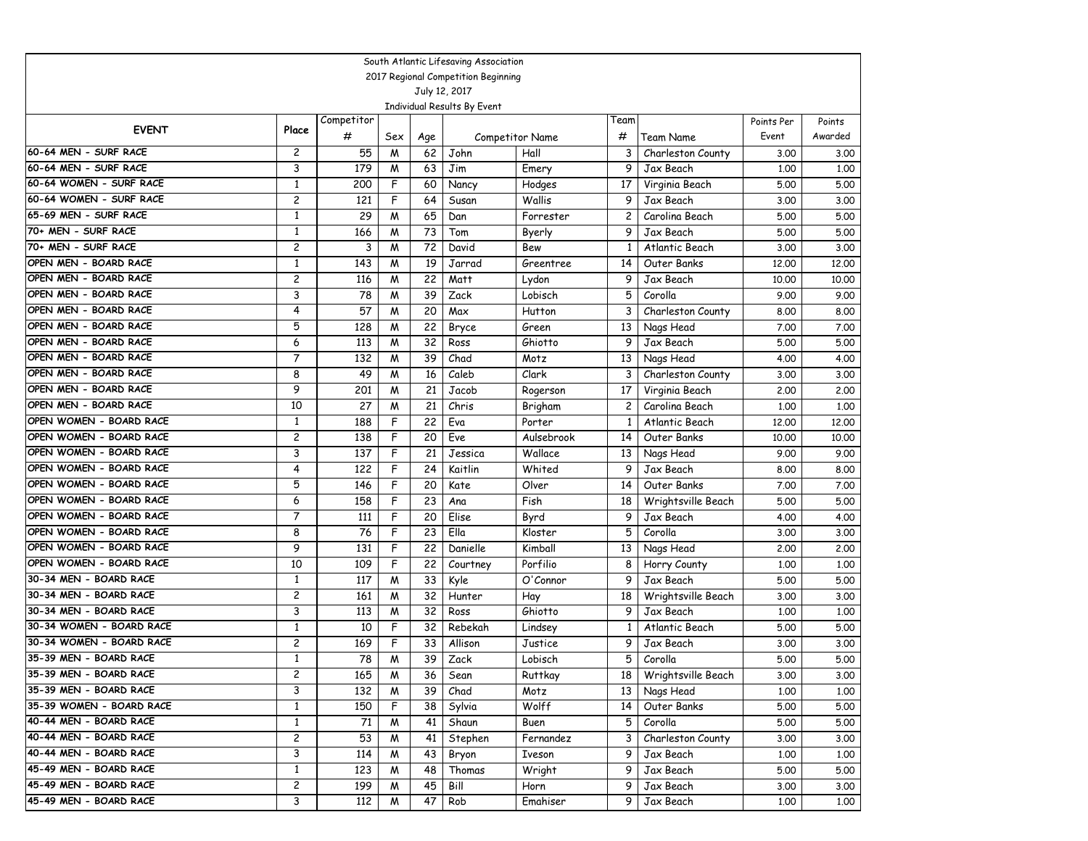|                                              |                                                      |            |        |          | South Atlantic Lifesaving Association |                      |         |                                 |              |              |  |  |
|----------------------------------------------|------------------------------------------------------|------------|--------|----------|---------------------------------------|----------------------|---------|---------------------------------|--------------|--------------|--|--|
|                                              | 2017 Regional Competition Beginning<br>July 12, 2017 |            |        |          |                                       |                      |         |                                 |              |              |  |  |
|                                              |                                                      |            |        |          |                                       |                      |         |                                 |              |              |  |  |
|                                              |                                                      |            |        |          | Individual Results By Event           |                      |         |                                 |              |              |  |  |
| <b>EVENT</b>                                 | Place                                                | Competitor |        |          |                                       |                      | Team    |                                 | Points Per   | Points       |  |  |
|                                              |                                                      | #          | Sex    | Age      |                                       | Competitor Name      | #       | Team Name                       | Event        | Awarded      |  |  |
| 60-64 MEN - SURF RACE                        | 2                                                    | 55         | M      | 62       | John                                  | Hall                 | 3       | Charleston County               | 3.00         | 3.00         |  |  |
| 60-64 MEN - SURF RACE                        | 3                                                    | 179        | M      | 63       | Jim                                   | Emery                | 9       | Jax Beach                       | 1,00         | 1,00         |  |  |
| 60-64 WOMEN - SURF RACE                      | $\mathbf{1}$                                         | 200        | F      | 60       | Nancy                                 | Hodges               | 17      | Virginia Beach                  | 5.00         | 5.00         |  |  |
| 60-64 WOMEN - SURF RACE                      | $\overline{c}$                                       | 121        | F      | 64       | Susan                                 | Wallis               | 9       | Jax Beach                       | 3.00         | 3.00         |  |  |
| 65-69 MEN - SURF RACE<br>70+ MEN - SURF RACE | $\mathbf{1}$                                         | 29         | W      | 65       | Dan                                   | Forrester            | 2       | Carolina Beach                  | 5.00         | 5.00         |  |  |
| 70+ MEN - SURF RACE                          | $\mathbf{1}$                                         | 166        | M      | 73       | Tom                                   | Byerly               | 9       | Jax Beach                       | 5.00         | 5.00         |  |  |
| OPEN MEN - BOARD RACE                        | $\overline{c}$                                       | 3          | M      | 72       | David                                 | Bew                  | 1       | Atlantic Beach                  | 3.00         | 3.00         |  |  |
| OPEN MEN - BOARD RACE                        | $\mathbf{1}$<br>$\overline{c}$                       | 143        | M      | 19       | Jarrad                                | Greentree            | 14      | Outer Banks                     | 12,00        | 12,00        |  |  |
| OPEN MEN - BOARD RACE                        |                                                      | 116        | W      | 22       | Matt                                  | Lydon                | 9       | Jax Beach                       | 10.00        | 10.00        |  |  |
| OPEN MEN - BOARD RACE                        | 3                                                    | 78         | W      | 39       | Zack                                  | Lobisch              | 5       | Corolla                         | 9.00         | 9.00         |  |  |
| OPEN MEN - BOARD RACE                        | 4                                                    | 57         | M      | 20       | Max                                   | Hutton               | 3       | Charleston County               | 8.00         | 8.00         |  |  |
| OPEN MEN - BOARD RACE                        | 5<br>6                                               | 128        | M      | 22       | Bryce                                 | Green                | 13      | Nags Head                       | 7.00         | 7.00         |  |  |
| OPEN MEN - BOARD RACE                        | $\overline{7}$                                       | 113        | M      | 32       | Ross                                  | Ghiotto              | 9       | Jax Beach                       | 5.00         | 5.00         |  |  |
| OPEN MEN - BOARD RACE                        | 8                                                    | 132<br>49  | W      | 39<br>16 | Chad<br>Caleb                         | Motz                 | 13      | Nags Head                       | 4.00         | 4.00         |  |  |
| OPEN MEN - BOARD RACE                        | 9                                                    | 201        | M      | 21       |                                       | Clark                | 3       | Charleston County               | 3.00         | 3.00         |  |  |
| OPEN MEN - BOARD RACE                        | 10                                                   | 27         | W      | 21       | Jacob<br>Chris                        | Rogerson             | 17      | Virginia Beach                  | 2,00         | 2.00         |  |  |
| OPEN WOMEN - BOARD RACE                      | $\mathbf{1}$                                         | 188        | W<br>F | 22       |                                       | Brigham              | 2       | Carolina Beach                  | 1,00         | 1,00         |  |  |
| OPEN WOMEN - BOARD RACE                      | $\overline{c}$                                       |            | F      | 20       | Eva<br>Eve                            | Porter<br>Aulsebrook | 1<br>14 | Atlantic Beach                  | 12,00        | 12,00        |  |  |
| OPEN WOMEN - BOARD RACE                      | 3                                                    | 138<br>137 | F      | 21       |                                       | Wallace              |         | Outer Banks                     | 10.00        | 10.00        |  |  |
| OPEN WOMEN - BOARD RACE                      | 4                                                    |            | F      | 24       | Jessica<br>Kaitlin                    | Whited               | 13<br>9 | Nags Head                       | 9.00         | 9.00         |  |  |
| OPEN WOMEN - BOARD RACE                      | 5                                                    | 122<br>146 | F      | 20       | Kate                                  | Olver                | 14      | Jax Beach<br>Outer Banks        | 8.00<br>7.00 | 8.00<br>7.00 |  |  |
| OPEN WOMEN - BOARD RACE                      | 6                                                    | 158        | F      | 23       |                                       | Fish                 | 18      |                                 | 5.00         | 5.00         |  |  |
| OPEN WOMEN - BOARD RACE                      | $\overline{7}$                                       | 111        | F      | 20       | Ana<br>Elise                          |                      | 9       | Wrightsville Beach<br>Jax Beach | 4.00         | 4.00         |  |  |
| OPEN WOMEN - BOARD RACE                      | 8                                                    | 76         | F      | 23       | Ella                                  | Byrd<br>Kloster      | 5       | Corolla                         | 3.00         | 3.00         |  |  |
| OPEN WOMEN - BOARD RACE                      | 9                                                    | 131        | F      | 22       | Danielle                              | Kimball              | 13      | Nags Head                       | 2,00         | 2.00         |  |  |
| OPEN WOMEN - BOARD RACE                      | 10                                                   | 109        | F      | 22       | Courtney                              | Porfilio             | 8       | Horry County                    | 1,00         | 1,00         |  |  |
| 30-34 MEN - BOARD RACE                       | $\mathbf{1}$                                         | 117        | W      | 33       | Kyle                                  | O'Connor             | 9       | Jax Beach                       | 5.00         | 5.00         |  |  |
| 30-34 MEN - BOARD RACE                       | $\overline{c}$                                       | 161        | W      | 32       | Hunter                                | Hay                  | 18      | Wrightsville Beach              | 3.00         | 3.00         |  |  |
| 30-34 MEN - BOARD RACE                       | 3                                                    | 113        | W      | 32       | Ross                                  | Ghiotto              | 9       | Jax Beach                       | 1,00         | 1,00         |  |  |
| 30-34 WOMEN - BOARD RACE                     | $\mathbf{1}$                                         | 10         | F      | 32       | Rebekah                               | Lindsey              | 1       | Atlantic Beach                  | 5.00         | 5.00         |  |  |
| 30-34 WOMEN - BOARD RACE                     | $\overline{c}$                                       | 169        | F      | 33       | Allison                               | Justice              | 9       | Jax Beach                       | 3.00         | 3.00         |  |  |
| 35-39 MEN - BOARD RACE                       | 1                                                    | 78         | W      | 39       | Zack                                  | Lobisch              | 5       | Corolla                         | 5.00         | 5.00         |  |  |
| 35-39 MEN - BOARD RACE                       | 2                                                    | 165        | M      | 36       | Sean                                  | Ruttkay              | 18      | Wrightsville Beach              | 3.00         | 3.00         |  |  |
| 35-39 MEN - BOARD RACE                       | 3                                                    | 132        | M      | 39       | Chad                                  | Motz                 | 13      | Nags Head                       | 1.00         | 1.00         |  |  |
| 35-39 WOMEN - BOARD RACE                     | $\mathbf{1}$                                         | 150        | F      | 38       | Sylvia                                | Wolff                | 14      | Outer Banks                     | 5.00         | 5.00         |  |  |
| 40-44 MEN - BOARD RACE                       | $\mathbf{1}$                                         | 71         | M      | 41       | Shaun                                 | Buen                 | 5       | Corolla                         | 5.00         | 5.00         |  |  |
| 40-44 MEN - BOARD RACE                       | $\overline{c}$                                       | 53         | M      | 41       | Stephen                               | Fernandez            | 3       | Charleston County               | 3.00         | 3.00         |  |  |
| 40-44 MEN - BOARD RACE                       | 3                                                    | 114        | M      | 43       | Bryon                                 | Iveson               | 9       | Jax Beach                       | 1.00         | 1.00         |  |  |
| 45-49 MEN - BOARD RACE                       | $\mathbf{1}$                                         | 123        | M      | 48       | Thomas                                | Wright               | 9       | Jax Beach                       | 5.00         | 5.00         |  |  |
| 45-49 MEN - BOARD RACE                       | $\overline{c}$                                       | 199        | M      | 45       | Bill                                  | Horn                 | 9       | Jax Beach                       | 3.00         | 3.00         |  |  |
| 45-49 MEN - BOARD RACE                       | 3                                                    | 112        | M      | 47       | Rob                                   | Emahiser             | 9       | Jax Beach                       | 1.00         | 1.00         |  |  |
|                                              |                                                      |            |        |          |                                       |                      |         |                                 |              |              |  |  |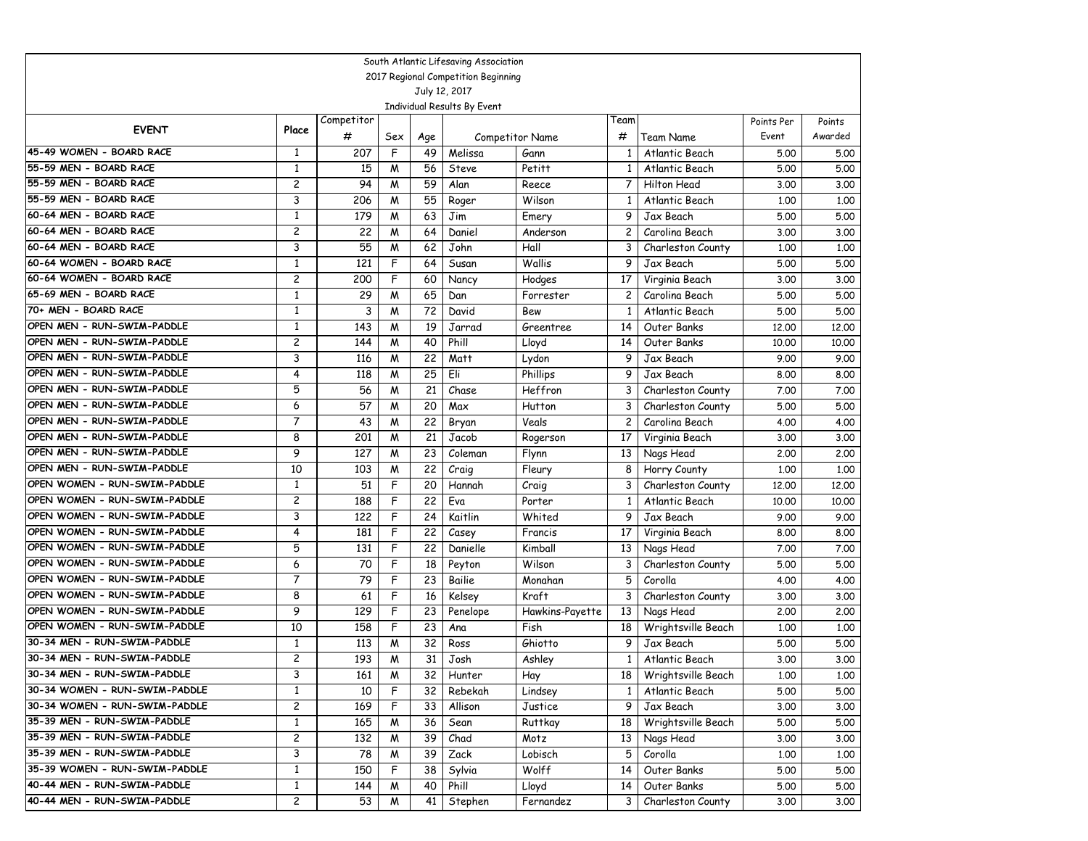|                                                  |                         |            |        |          | South Atlantic Lifesaving Association |                     |                         |                                   |               |               |
|--------------------------------------------------|-------------------------|------------|--------|----------|---------------------------------------|---------------------|-------------------------|-----------------------------------|---------------|---------------|
|                                                  |                         |            |        |          | 2017 Regional Competition Beginning   |                     |                         |                                   |               |               |
|                                                  |                         |            |        |          | July 12, 2017                         |                     |                         |                                   |               |               |
|                                                  |                         |            |        |          | Individual Results By Event           |                     |                         |                                   |               |               |
| <b>EVENT</b>                                     | Place                   | Competitor |        |          |                                       |                     | Team                    |                                   | Points Per    | Points        |
|                                                  |                         | #          | Sex    | Age      |                                       | Competitor Name     | #                       | Team Name                         | Event         | Awarded       |
| 45-49 WOMEN - BOARD RACE                         | 1                       | 207        | F      | 49       | Melissa                               | Gann                | 1                       | Atlantic Beach                    | 5.00          | 5.00          |
| 55-59 MEN - BOARD RACE                           | 1                       | 15         | M      | 56       | <b>Steve</b>                          | Petitt              | 1                       | Atlantic Beach                    | 5.00          | 5.00          |
| 55-59 MEN - BOARD RACE                           | 2                       | 94         | M      | 59       | Alan                                  | Reece               | $\overline{7}$          | Hilton Head                       | 3.00          | 3.00          |
| 55-59 MEN - BOARD RACE                           | 3                       | 206        | M      | 55       | Roger                                 | Wilson              | $\mathbf{1}$            | Atlantic Beach                    | 1,00          | 1,00          |
| 60-64 MEN - BOARD RACE<br>60-64 MEN - BOARD RACE | $\mathbf{1}$            | 179        | M      | 63       | Jim                                   | Emery               | 9                       | Jax Beach                         | 5.00          | 5.00          |
| 60-64 MEN - BOARD RACE                           | 2                       | 22         | M      | 64       | Daniel                                | Anderson            | 2                       | Carolina Beach                    | 3.00          | 3.00          |
| 60-64 WOMEN - BOARD RACE                         | 3                       | 55         | M      | 62       | John                                  | Hall                | 3                       | Charleston County                 | 1,00          | 1,00          |
| 60-64 WOMEN - BOARD RACE                         | 1<br>2                  | 121        | F<br>F | 64       | Susan                                 | Wallis              | 9                       | Jax Beach                         | 5.00          | 5.00          |
| 65-69 MEN - BOARD RACE                           |                         | 200        |        | 60       | Nancy                                 | Hodges              | 17                      | Virginia Beach                    | 3.00          | 3.00          |
| 70+ MEN - BOARD RACE                             | $\mathbf{1}$            | 29         | M      | 65       | Dan                                   | Forrester           | $\overline{c}$          | Carolina Beach                    | 5.00          | 5.00          |
| OPEN MEN - RUN-SWIM-PADDLE                       | 1                       | 3          | M      | 72       | David                                 | Bew                 | $\mathbf{1}$            | Atlantic Beach                    | 5.00          | 5.00          |
| OPEN MEN - RUN-SWIM-PADDLE                       | 1<br>2                  | 143        | M      | 19       | <b>Jarrad</b>                         | Greentree           | 14                      | Outer Banks                       | 12,00         | 12,00         |
| OPEN MEN - RUN-SWIM-PADDLE                       | 3                       | 144        | M      | 40       | Phill                                 | Lloyd               | 14                      | Outer Banks                       | 10.00         | 10.00         |
| OPEN MEN - RUN-SWIM-PADDLE                       | 4                       | 116        | M      | 22<br>25 | Matt<br>Eli                           | Lydon               | 9<br>9                  | Jax Beach                         | 9.00          | 9.00          |
| OPEN MEN - RUN-SWIM-PADDLE                       | 5                       | 118<br>56  | M      | 21       | Chase                                 | Phillips<br>Heffron |                         | Jax Beach                         | 8.00          | 8.00          |
| OPEN MEN - RUN-SWIM-PADDLE                       |                         |            | M      |          |                                       |                     | 3                       | Charleston County                 | 7.00          | 7.00          |
| OPEN MEN - RUN-SWIM-PADDLE                       | 6<br>$\overline{7}$     | 57         | M      | 20       | Max                                   | Hutton              | 3                       | Charleston County                 | 5.00          | 5.00          |
| OPEN MEN - RUN-SWIM-PADDLE                       |                         | 43         | M      | 22<br>21 | Bryan                                 | Veals               | $\overline{\mathbf{c}}$ | Carolina Beach                    | 4.00          | 4.00          |
| OPEN MEN - RUN-SWIM-PADDLE                       | 8<br>9                  | 201<br>127 | M      |          | Jacob                                 | Rogerson            | 17                      | Virginia Beach                    | 3.00          | 3.00          |
| OPEN MEN - RUN-SWIM-PADDLE                       | 10                      |            | M      | 23       | Coleman                               | Flynn               | 13                      | Nags Head                         | 2,00          | 2,00          |
| OPEN WOMEN - RUN-SWIM-PADDLE                     | $\mathbf{1}$            | 103<br>51  | M<br>F | 22<br>20 | Craig<br>Hannah                       | Fleury              | 8<br>3                  | Horry County<br>Charleston County | 1.00<br>12,00 | 1,00<br>12,00 |
| OPEN WOMEN - RUN-SWIM-PADDLE                     | 2                       | 188        | F      | 22       | Eva                                   | Craig               | $\mathbf{1}$            | Atlantic Beach                    |               | 10.00         |
| OPEN WOMEN - RUN-SWIM-PADDLE                     | 3                       | 122        | F      | 24       | Kaitlin                               | Porter<br>Whited    | 9                       | Jax Beach                         | 10.00         | 9.00          |
| OPEN WOMEN - RUN-SWIM-PADDLE                     | 4                       | 181        | F      | 22       | Casey                                 | Francis             | 17                      | Virginia Beach                    | 9.00          | 8.00          |
| OPEN WOMEN - RUN-SWIM-PADDLE                     | 5                       | 131        | F      | 22       | Danielle                              | Kimball             | 13                      | Nags Head                         | 8.00<br>7.00  | 7.00          |
| OPEN WOMEN - RUN-SWIM-PADDLE                     | 6                       | 70         | F      | 18       |                                       | Wilson              | 3                       | Charleston County                 | 5.00          | 5.00          |
| OPEN WOMEN - RUN-SWIM-PADDLE                     | $\overline{7}$          | 79         | F      | 23       | Peyton<br>Bailie                      | Monahan             | 5                       | Corolla                           | 4.00          | 4.00          |
| OPEN WOMEN - RUN-SWIM-PADDLE                     | 8                       | 61         | F      | 16       | Kelsey                                | Kraft               | 3                       | Charleston County                 | 3.00          | 3.00          |
| OPEN WOMEN - RUN-SWIM-PADDLE                     | 9                       | 129        | F      | 23       | Penelope                              | Hawkins-Payette     | 13                      | Nags Head                         | 2.00          | 2,00          |
| OPEN WOMEN - RUN-SWIM-PADDLE                     | 10                      | 158        | F      | 23       | Ana                                   | Fish                | 18                      | Wrightsville Beach                | 1,00          | 1,00          |
| 30-34 MEN - RUN-SWIM-PADDLE                      | 1                       | 113        | M      | 32       | Ross                                  | Ghiotto             | 9                       | Jax Beach                         | 5.00          | 5.00          |
| 30-34 MEN - RUN-SWIM-PADDLE                      | $\overline{c}$          | 193        | M      | 31       | Josh                                  | Ashley              | 1                       | Atlantic Beach                    | 3.00          | 3.00          |
| 30-34 MEN - RUN-SWIM-PADDLE                      | 3                       | 161        | M      | 32       | Hunter                                | Hay                 | 18 I                    | Wrightsville Beach                | 1.00          | 1.00          |
| 30-34 WOMEN - RUN-SWIM-PADDLE                    | $\mathbf{1}$            | 10         | F      | 32       | Rebekah                               | Lindsey             | $\mathbf{1}$            | Atlantic Beach                    | 5.00          | 5.00          |
| 30-34 WOMEN - RUN-SWIM-PADDLE                    | $\overline{\mathbf{c}}$ | 169        | F      | 33       | Allison                               | Justice             | 9                       | Jax Beach                         | 3.00          | 3.00          |
| 35-39 MEN - RUN-SWIM-PADDLE                      | 1                       | 165        | M      | 36       | Sean                                  | Ruttkay             | 18                      | Wrightsville Beach                | 5.00          | 5.00          |
| 35-39 MEN - RUN-SWIM-PADDLE                      | 2                       | 132        | M      | 39       | Chad                                  | Motz                | 13                      | Nags Head                         | 3.00          | 3.00          |
| 35-39 MEN - RUN-SWIM-PADDLE                      | 3                       | 78         | M      | 39       | Zack                                  | Lobisch             | 5                       | Corolla                           | 1.00          | 1.00          |
| 35-39 WOMEN - RUN-SWIM-PADDLE                    | $\mathbf{1}$            | 150        | F      | 38       | Sylvia                                | Wolff               | 14                      | Outer Banks                       | 5.00          | 5.00          |
| 40-44 MEN - RUN-SWIM-PADDLE                      | 1                       | 144        | M      | 40       | Phill                                 | Lloyd               | 14                      | Outer Banks                       | 5.00          | 5.00          |
| 40-44 MEN - RUN-SWIM-PADDLE                      | $\overline{\mathbf{c}}$ | 53         | M      | 41       | Stephen                               | Fernandez           | 3                       | Charleston County                 | 3.00          |               |
|                                                  |                         |            |        |          |                                       |                     |                         |                                   |               | 3.00          |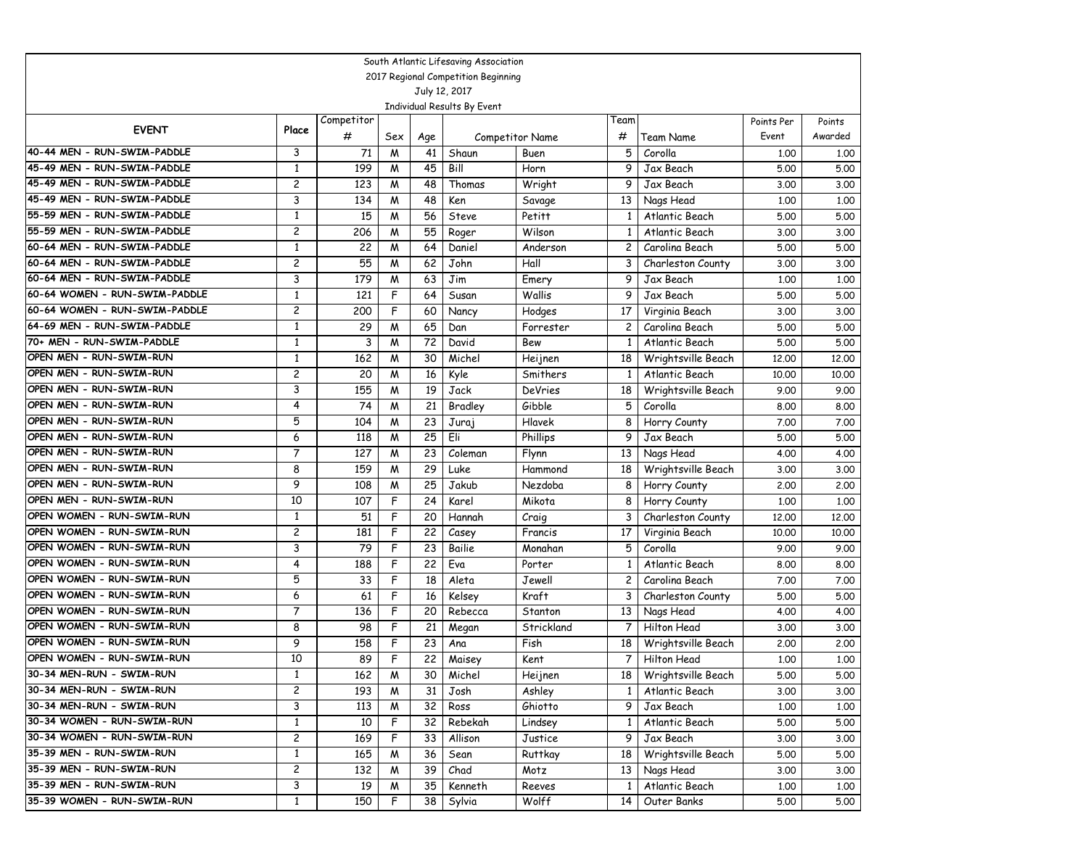|                                                      |                         |                  |     |                 | South Atlantic Lifesaving Association |                        |                 |                    |            |         |
|------------------------------------------------------|-------------------------|------------------|-----|-----------------|---------------------------------------|------------------------|-----------------|--------------------|------------|---------|
| 2017 Regional Competition Beginning<br>July 12, 2017 |                         |                  |     |                 |                                       |                        |                 |                    |            |         |
|                                                      |                         |                  |     |                 |                                       |                        |                 |                    |            |         |
|                                                      |                         |                  |     |                 | Individual Results By Event           |                        |                 |                    |            |         |
| <b>EVENT</b>                                         | Place                   | Competitor       |     |                 |                                       |                        | Team            |                    | Points Per | Points  |
|                                                      |                         | #                | Sex | Age             |                                       | <b>Competitor Name</b> | #               | Team Name          | Event      | Awarded |
| 40-44 MEN - RUN-SWIM-PADDLE                          | 3                       | 71               | M   | 41              | Shaun                                 | Buen                   | 5               | Corolla            | 1,00       | 1.00    |
| 45-49 MEN - RUN-SWIM-PADDLE                          | 1                       | 199              | M   | 45              | Bill                                  | Horn                   | 9               | Jax Beach          | 5.00       | 5.00    |
| 45-49 MEN - RUN-SWIM-PADDLE                          | $\overline{c}$          | 123              | M   | 48              | Thomas                                | Wright                 | 9               | Jax Beach          | 3.00       | 3.00    |
| 45-49 MEN - RUN-SWIM-PADDLE                          | 3                       | 134              | W   | 48              | Ken                                   | Savage                 | 13              | Nags Head          | 1,00       | 1.00    |
| 55-59 MEN - RUN-SWIM-PADDLE                          | $\mathbf{1}$            | 15               | M   | 56              | <b>Steve</b>                          | Petitt                 | 1               | Atlantic Beach     | 5.00       | 5.00    |
| 55-59 MEN - RUN-SWIM-PADDLE                          | 2                       | 206              | M   | 55              | Roger                                 | Wilson                 | 1               | Atlantic Beach     | 3.00       | 3.00    |
| 60-64 MEN - RUN-SWIM-PADDLE                          | 1                       | 22               | W   | 64              | Daniel                                | Anderson               | 2               | Carolina Beach     | 5.00       | 5.00    |
| 60-64 MEN - RUN-SWIM-PADDLE                          | $\overline{c}$          | 55               | M   | 62              | John                                  | Hall                   | 3               | Charleston County  | 3.00       | 3.00    |
| 60-64 MEN - RUN-SWIM-PADDLE                          | 3                       | 179              | W   | 63              | Jim                                   | Emery                  | 9               | Jax Beach          | 1.00       | 1.00    |
| 60-64 WOMEN - RUN-SWIM-PADDLE                        | $\mathbf{1}$            | 121              | F   | 64              | Susan                                 | Wallis                 | 9               | Jax Beach          | 5.00       | 5.00    |
| 60-64 WOMEN - RUN-SWIM-PADDLE                        | $\overline{c}$          | 200              | F   | 60              | Nancy                                 | Hodges                 | 17              | Virginia Beach     | 3.00       | 3.00    |
| 64-69 MEN - RUN-SWIM-PADDLE                          | $\mathbf{1}$            | 29               | W   | 65              | Dan                                   | Forrester              | 2               | Carolina Beach     | 5.00       | 5.00    |
| 70+ MEN - RUN-SWIM-PADDLE                            | $\mathbf{1}$            | 3                | M   | 72              | David                                 | Bew                    | 1               | Atlantic Beach     | 5.00       | 5.00    |
| OPEN MEN - RUN-SWIM-RUN                              | 1                       | $16\overline{2}$ | W   | 30              | Michel                                | Heijnen                | 18              | Wrightsville Beach | 12,00      | 12.00   |
| OPEN MEN - RUN-SWIM-RUN                              | $\overline{c}$          | 20               | M   | 16              | Kyle                                  | Smithers               | 1               | Atlantic Beach     | 10.00      | 10.00   |
| OPEN MEN - RUN-SWIM-RUN                              | 3                       | 155              | W   | 19              | Jack                                  | <b>DeVries</b>         | 18              | Wrightsville Beach | 9.00       | 9.00    |
| OPEN MEN - RUN-SWIM-RUN                              | 4                       | 74               | W   | 21              | Bradley                               | Gibble                 | 5               | Corolla            | 8.00       | 8.00    |
| OPEN MEN - RUN-SWIM-RUN                              | 5                       | 104              | M   | 23              | Juraj                                 | Hlavek                 | 8               | Horry County       | 7.00       | 7.00    |
| OPEN MEN - RUN-SWIM-RUN                              | 6                       | 118              | M   | 25              | Eli                                   | Phillips               | 9               | Jax Beach          | 5.00       | 5.00    |
| OPEN MEN - RUN-SWIM-RUN                              | $\overline{7}$          | 127              | W   | 23              | Coleman                               | Flynn                  | 13              | Nags Head          | 4.00       | 4.00    |
| OPEN MEN - RUN-SWIM-RUN                              | 8                       | 159              | M   | 29              | Luke                                  | Hammond                | 18              | Wrightsville Beach | 3.00       | 3.00    |
| OPEN MEN - RUN-SWIM-RUN                              | 9                       | 108              | м   | $\overline{25}$ | Jakub                                 | Nezdoba                | 8               | Horry County       | 2.00       | 2.00    |
| OPEN MEN - RUN-SWIM-RUN                              | 10                      | 107              | F   | 24              | Karel                                 | Mikota                 | 8               | Horry County       | 1.00       | 1.00    |
| OPEN WOMEN - RUN-SWIM-RUN                            | $\mathbf{1}$            | 51               | F   | 20              | Hannah                                | Craig                  | 3               | Charleston County  | 12.00      | 12.00   |
| OPEN WOMEN - RUN-SWIM-RUN                            | 2                       | 181              | F   | 22              | Casey                                 | Francis                | 17              | Virginia Beach     | 10,00      | 10.00   |
| OPEN WOMEN - RUN-SWIM-RUN                            | 3                       | $\overline{79}$  | F   | 23              | Bailie                                | Monahan                | 5               | Corolla            | 9.00       | 9.00    |
| OPEN WOMEN - RUN-SWIM-RUN                            | 4                       | 188              | F   | 22              | Eva                                   | Porter                 | 1               | Atlantic Beach     | 8.00       | 8.00    |
| OPEN WOMEN - RUN-SWIM-RUN                            | 5                       | 33               | F   | 18              | Aleta                                 | Jewell                 | $\overline{c}$  | Carolina Beach     | 7.00       | 7.00    |
| OPEN WOMEN - RUN-SWIM-RUN                            | 6                       | 61               | F   | 16              | Kelsey                                | <b>Kraft</b>           | 3               | Charleston County  | 5.00       | 5.00    |
| OPEN WOMEN - RUN-SWIM-RUN                            | $\overline{7}$          | 136              | F   | 20              | Rebecca                               | Stanton                | 13              | Nags Head          | 4.00       | 4.00    |
| OPEN WOMEN - RUN-SWIM-RUN                            | 8                       | 98               | F   | 21              | Megan                                 | Strickland             | $\overline{7}$  | Hilton Head        | 3.00       | 3.00    |
| OPEN WOMEN - RUN-SWIM-RUN                            | 9                       | 158              | F   | 23              | Ana                                   | Fish                   | 18              | Wrightsville Beach | 2.00       | 2.00    |
| OPEN WOMEN - RUN-SWIM-RUN                            | 10                      | 89               | F   | 22              | Maisey                                | Kent                   | 7               | Hilton Head        | 1.00       | 1.00    |
| 30-34 MEN-RUN - SWIM-RUN                             | 1                       | 162              | M   | 30              | Michel                                | Heijnen                | 18              | Wrightsville Beach | 5.00       | 5.00    |
| 30-34 MEN-RUN - SWIM-RUN                             | $\overline{c}$          | 193              | M   | 31              | Josh                                  | Ashley                 | $\mathbf{1}$    | Atlantic Beach     | 3.00       | 3.00    |
| 30-34 MEN-RUN - SWIM-RUN                             | 3                       | 113              | W   | 32              | Ross                                  | Ghiotto                | 9               | Jax Beach          | 1.00       | 1.00    |
| 30-34 WOMEN - RUN-SWIM-RUN                           | $\mathbf{1}$            | 10               | F   | 32              | Rebekah                               | Lindsey                | $\mathbf{1}$    | Atlantic Beach     | 5.00       | 5.00    |
| 30-34 WOMEN - RUN-SWIM-RUN                           | $\overline{\mathbf{c}}$ | 169              | F   | 33              | Allison                               | Justice                | 9               | Jax Beach          | 3.00       | 3.00    |
| 35-39 MEN - RUN-SWIM-RUN                             | $\mathbf{1}$            | 165              | M   | 36              | Sean                                  | <b>Ruttkay</b>         | 18              | Wrightsville Beach | 5.00       | 5.00    |
| 35-39 MEN - RUN-SWIM-RUN                             | $\overline{c}$          | 132              | M   | 39              | Chad                                  | Motz                   | 13              | Nags Head          | 3.00       | 3.00    |
| 35-39 MEN - RUN-SWIM-RUN                             | 3                       | 19               | M   | 35              | Kenneth                               | Reeves                 | $\mathbf{1}$    | Atlantic Beach     | 1.00       | 1.00    |
| 35-39 WOMEN - RUN-SWIM-RUN                           | $\mathbf{1}$            | 150              | F   | 38              | Sylvia                                | Wolff                  | 14 <sup>1</sup> | Outer Banks        | 5.00       | 5.00    |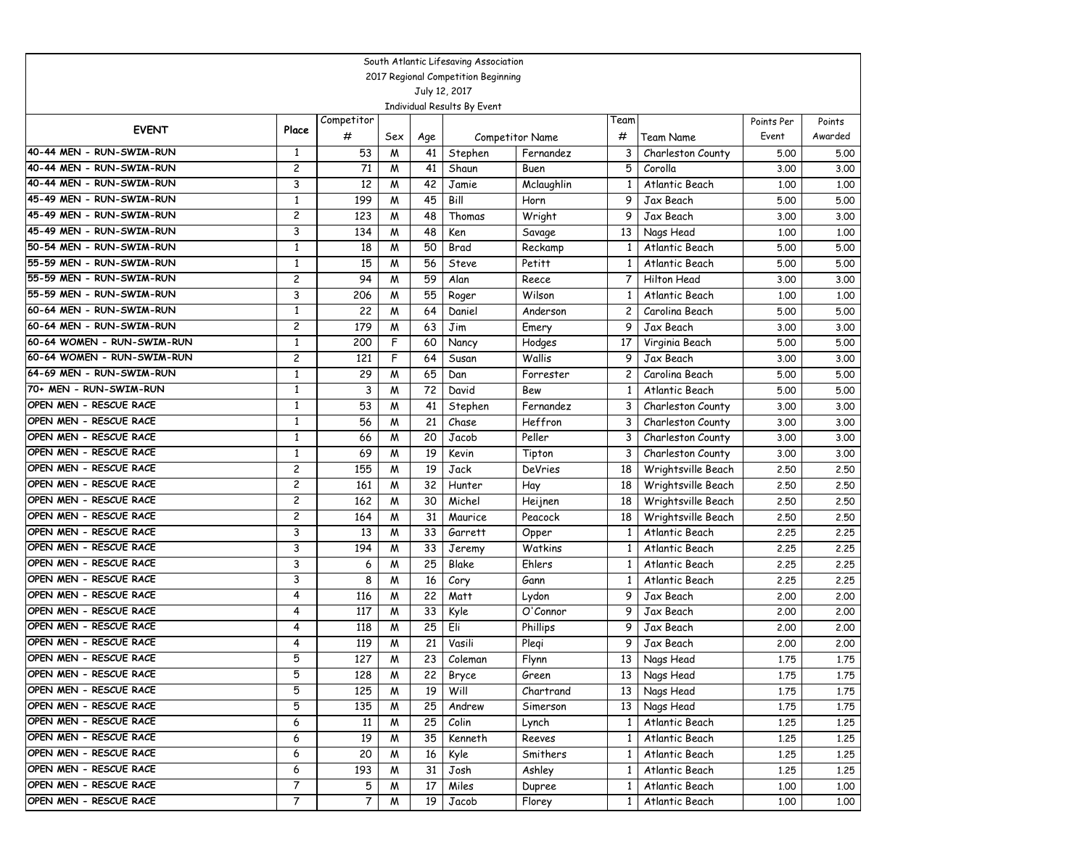|                                                  |                                           |            |        |          | South Atlantic Lifesaving Association |                    |              |                                      |              |              |  |
|--------------------------------------------------|-------------------------------------------|------------|--------|----------|---------------------------------------|--------------------|--------------|--------------------------------------|--------------|--------------|--|
|                                                  | 2017 Regional Competition Beginning       |            |        |          |                                       |                    |              |                                      |              |              |  |
|                                                  |                                           |            |        |          | July 12, 2017                         |                    |              |                                      |              |              |  |
|                                                  |                                           |            |        |          | Individual Results By Event           |                    |              |                                      |              |              |  |
| <b>EVENT</b>                                     | Place                                     | Competitor |        |          |                                       |                    | Team         |                                      | Points Per   | Points       |  |
|                                                  |                                           | #          | Sex    | Age      |                                       | Competitor Name    | #            | Team Name                            | Event        | Awarded      |  |
| 40-44 MEN - RUN-SWIM-RUN                         | $\mathbf{1}$                              | 53         | M      | 41       | Stephen                               | Fernandez          | 3            | Charleston County                    | 5.00         | 5.00         |  |
| 40-44 MEN - RUN-SWIM-RUN                         | $\overline{c}$                            | 71         | M      | 41       | Shaun                                 | Buen               | 5            | Corolla                              | 3.00         | 3.00         |  |
| 40-44 MEN - RUN-SWIM-RUN                         | 3                                         | 12         | M      | 42       | Jamie                                 | Mclaughlin         |              | Atlantic Beach                       | 1.00         | 1.00         |  |
| 45-49 MEN - RUN-SWIM-RUN                         | $\mathbf{1}$                              | 199        | W      | 45       | Bill                                  | Horn               | 9            | Jax Beach                            | 5.00         | 5.00         |  |
| 45-49 MEN - RUN-SWIM-RUN                         | 2                                         | 123        | W      | 48       | Thomas                                | Wright             | 9            | Jax Beach                            | 3.00         | 3.00         |  |
| 45-49 MEN - RUN-SWIM-RUN                         | 3                                         | 134        | W      | 48       | Ken                                   | Savage             | 13           | Nags Head                            | 1.00         | 1.00         |  |
| 50-54 MEN - RUN-SWIM-RUN                         | $\mathbf{1}$                              | 18         | M      | 50       | Brad                                  | Reckamp            |              | Atlantic Beach                       | 5.00         | 5.00         |  |
| 55-59 MEN - RUN-SWIM-RUN                         | 1                                         | 15         | W      | 56       | <b>Steve</b>                          | Petitt             | 1            | Atlantic Beach                       | 5.00         | 5.00         |  |
| 55-59 MEN - RUN-SWIM-RUN                         | $\overline{c}$                            | 94         | W      | 59       | Alan                                  | Reece              | 7            | Hilton Head                          | 3.00         | 3.00         |  |
| 55-59 MEN - RUN-SWIM-RUN                         | 3                                         | 206        | W      | 55       | Roger                                 | Wilson             | 1            | Atlantic Beach                       | 1.00         | 1.00         |  |
| 60-64 MEN - RUN-SWIM-RUN                         | $\mathbf{1}$                              | 22         | M      | 64       | Daniel                                | Anderson           | 2            | Carolina Beach                       | 5.00         | 5.00         |  |
| 60-64 MEN - RUN-SWIM-RUN                         | $\overline{c}$                            | 179        | M      | 63       | Jim                                   | Emery              | 9            | Jax Beach                            | 3.00         | 3.00         |  |
| 60-64 WOMEN - RUN-SWIM-RUN                       | $\mathbf{1}$                              | 200        | F      | 60       | Nancy                                 | Hodges             | 17           | Virginia Beach                       | 5.00         | 5.00         |  |
| 60-64 WOMEN - RUN-SWIM-RUN                       | $\overline{c}$                            | 121        | F      | 64       | Susan                                 | Wallis             | 9            | Jax Beach                            | 3.00         | 3.00         |  |
| 64-69 MEN - RUN-SWIM-RUN                         | $\mathbf{1}$                              | 29         | W      | 65       | Dan                                   | Forrester          | 2            | Carolina Beach                       | 5.00         | 5.00         |  |
| 70+ MEN - RUN-SWIM-RUN                           | $\mathbf{1}$                              | 3          | W      | 72       | David                                 | Bew                | 1            | Atlantic Beach                       | 5.00         | 5.00         |  |
| OPEN MEN - RESCUE RACE                           | $\mathbf{1}$                              | 53         | W      | 41       | Stephen                               | Fernandez          | 3            | Charleston County                    | 3.00         | 3.00         |  |
| OPEN MEN - RESCUE RACE<br>OPEN MEN - RESCUE RACE | 1                                         | 56         | W      | 21       | Chase                                 | Heffron            | 3            | Charleston County                    | 3.00         | 3.00         |  |
| OPEN MEN - RESCUE RACE                           | $\mathbf{1}$                              | 66         | M      | 20       | Jacob                                 | Peller             | 3            | Charleston County                    | 3.00         | 3.00         |  |
| OPEN MEN - RESCUE RACE                           | $\mathbf{1}$                              | 69         | W      | 19       | Kevin                                 | Tipton             | 3            | Charleston County                    | 3.00         | 3.00         |  |
| OPEN MEN - RESCUE RACE                           | $\overline{c}$                            | 155        | W      | 19       | Jack                                  | <b>DeVries</b>     | 18           | Wrightsville Beach                   | 2.50         | 2.50         |  |
| OPEN MEN - RESCUE RACE                           | $\overline{c}$                            | 161<br>162 | W      | 32<br>30 | Hunter                                | Hay                | 18           | Wrightsville Beach                   | 2.50         | 2.50         |  |
| OPEN MEN - RESCUE RACE                           | $\overline{c}$<br>$\overline{\mathbf{c}}$ |            | W      | 31       | Michel                                | Heijnen<br>Peacock | 18           | Wrightsville Beach                   | 2.50         | 2.50         |  |
| OPEN MEN - RESCUE RACE                           | 3                                         | 164        | W      | 33       | Maurice                               |                    | 18           | Wrightsville Beach<br>Atlantic Beach | 2.50         | 2,50<br>2.25 |  |
| OPEN MEN - RESCUE RACE                           | 3                                         | 13<br>194  | M      | 33       | Garrett                               | Opper<br>Watkins   | 1            | Atlantic Beach                       | 2.25         | 2.25         |  |
| OPEN MEN - RESCUE RACE                           | 3                                         | 6          | M<br>W | 25       | Jeremy<br>Blake                       | Ehlers             | 1            | Atlantic Beach                       | 2.25<br>2.25 | 2.25         |  |
| OPEN MEN - RESCUE RACE                           | 3                                         | 8          | W      | 16       | Cory                                  | Gann               | -1           | Atlantic Beach                       | 2.25         | 2.25         |  |
| OPEN MEN - RESCUE RACE                           | 4                                         | 116        | W      | 22       | Matt                                  | Lydon              | 9            | Jax Beach                            | 2.00         | 2.00         |  |
| OPEN MEN - RESCUE RACE                           | 4                                         | 117        | W      | 33       | Kyle                                  | O'Connor           | 9            | Jax Beach                            | 2.00         | 2.00         |  |
| OPEN MEN - RESCUE RACE                           | 4                                         | 118        | W      | 25       | Eli                                   | Phillips           | 9            | Jax Beach                            | 2.00         | 2.00         |  |
| OPEN MEN - RESCUE RACE                           | 4                                         | 119        | M      | 21       | Vasili                                | Plegi              | 9            | Jax Beach                            | 2.00         | 2.00         |  |
| OPEN MEN - RESCUE RACE                           | 5                                         | 127        | W      | 23       | $\overline{C}$ oleman                 | Flynn              | 13           | Nags Head                            | 1.75         | 1.75         |  |
| OPEN MEN - RESCUE RACE                           | 5                                         | 128        | M      | 22       | Bryce                                 | Green              |              | 13 Nags Head                         | 1.75         | 1.75         |  |
| OPEN MEN - RESCUE RACE                           | 5                                         | 125        | M      | 19       | Will                                  | Chartrand          |              | 13 Nags Head                         | 1.75         | 1.75         |  |
| OPEN MEN - RESCUE RACE                           | 5                                         | 135        | M      | 25       | Andrew                                | Simerson           |              | 13 Nags Head                         | 1.75         | 1.75         |  |
| OPEN MEN - RESCUE RACE                           | 6                                         | 11         | M      | 25       | Colin                                 | Lynch              | $\mathbf{1}$ | Atlantic Beach                       | 1.25         | 1.25         |  |
| OPEN MEN - RESCUE RACE                           | 6                                         | 19         | M      | 35       | Kenneth                               | Reeves             | 1            | Atlantic Beach                       | 1.25         | 1.25         |  |
| OPEN MEN - RESCUE RACE                           | 6                                         | 20         | M      | 16       | Kyle                                  | Smithers           | 1            | Atlantic Beach                       | 1.25         | 1.25         |  |
| OPEN MEN - RESCUE RACE                           | 6                                         | 193        | M      | 31       | Josh                                  | Ashley             | 1            | Atlantic Beach                       | 1.25         | 1.25         |  |
| OPEN MEN - RESCUE RACE                           | $\overline{7}$                            | 5          | M      | 17       | Miles                                 | Dupree             | 1            | Atlantic Beach                       | 1.00         | 1.00         |  |
| OPEN MEN - RESCUE RACE                           | 7                                         | 7          | M      | 19       | Jacob                                 | Florey             | $\mathbf{1}$ | Atlantic Beach                       | 1.00         | 1.00         |  |
|                                                  |                                           |            |        |          |                                       |                    |              |                                      |              |              |  |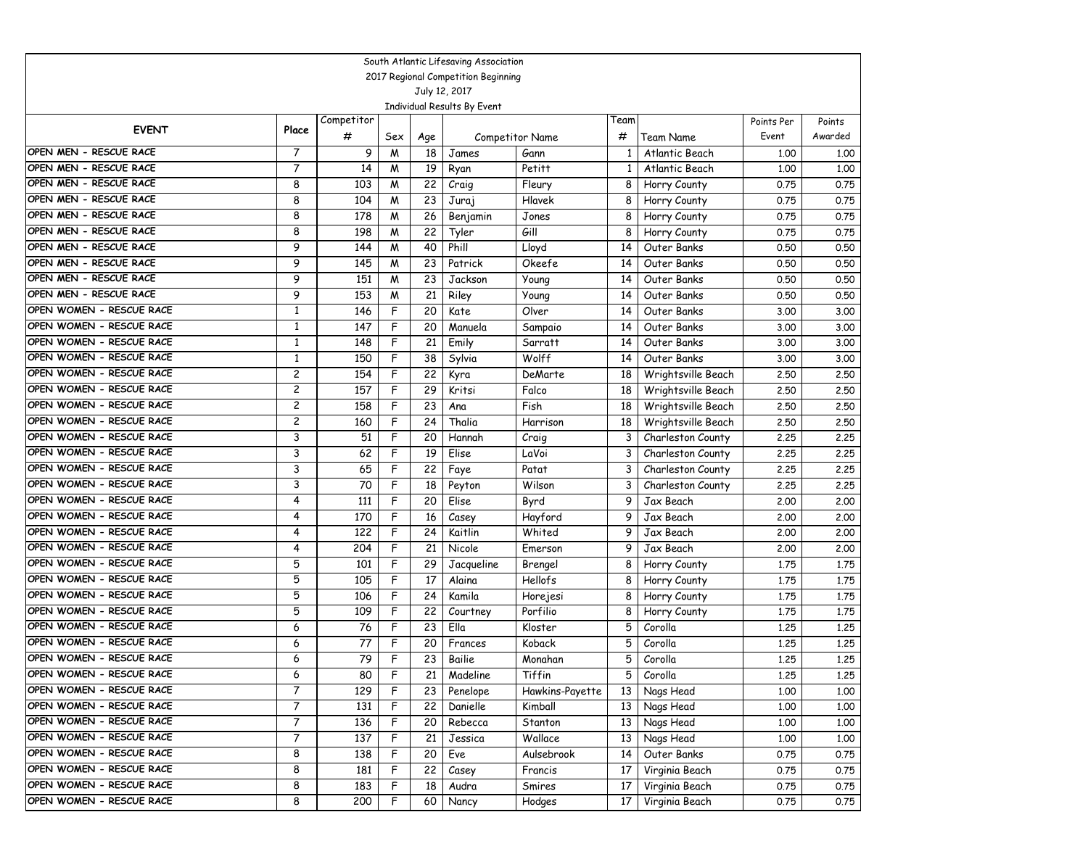|                                     |                |            |     |     | South Atlantic Lifesaving Association |                 |      |                    |            |         |
|-------------------------------------|----------------|------------|-----|-----|---------------------------------------|-----------------|------|--------------------|------------|---------|
| 2017 Regional Competition Beginning |                |            |     |     |                                       |                 |      |                    |            |         |
|                                     |                |            |     |     | July 12, 2017                         |                 |      |                    |            |         |
|                                     |                |            |     |     | Individual Results By Event           |                 |      |                    |            |         |
| <b>EVENT</b>                        | Place          | Competitor |     |     |                                       |                 | Team |                    | Points Per | Points  |
|                                     |                | #          | Sex | Age |                                       | Competitor Name | #    | Team Name          | Event      | Awarded |
| OPEN MEN - RESCUE RACE              | $\overline{7}$ | 9          | M   | 18  | James                                 | Gann            | 1    | Atlantic Beach     | 1,00       | 1.00    |
| OPEN MEN - RESCUE RACE              | $\overline{7}$ | 14         | M   | 19  | Ryan                                  | Petitt          | 1    | Atlantic Beach     | 1,00       | 1.00    |
| OPEN MEN - RESCUE RACE              | 8              | 103        | W   | 22  | Craig                                 | Fleury          | 8    | Horry County       | 0.75       | 0.75    |
| OPEN MEN - RESCUE RACE              | 8              | 104        | W   | 23  | Juraj                                 | Hlavek          | 8    | Horry County       | 0.75       | 0.75    |
| OPEN MEN - RESCUE RACE              | 8              | 178        | W   | 26  | Benjamin                              | Jones           | 8    | Horry County       | 0.75       | 0.75    |
| OPEN MEN - RESCUE RACE              | 8              | 198        | M   | 22  | Tyler                                 | Gill            | 8    | Horry County       | 0.75       | 0.75    |
| OPEN MEN - RESCUE RACE              | 9              | 144        | M   | 40  | Phill                                 | Lloyd           | 14   | Outer Banks        | 0.50       | 0.50    |
| OPEN MEN - RESCUE RACE              | 9              | 145        | W   | 23  | Patrick                               | Okeefe          | 14   | Outer Banks        | 0.50       | 0.50    |
| OPEN MEN - RESCUE RACE              | 9              | 151        | W   | 23  | Jackson                               | Young           | 14   | Outer Banks        | 0.50       | 0.50    |
| OPEN MEN - RESCUE RACE              | 9              | 153        | W   | 21  | Riley                                 | Young           | 14   | Outer Banks        | 0.50       | 0.50    |
| OPEN WOMEN - RESCUE RACE            | $\mathbf{1}$   | 146        | F   | 20  | Kate                                  | Olver           | 14   | Outer Banks        | 3.00       | 3.00    |
| OPEN WOMEN - RESCUE RACE            | $\mathbf{1}$   | 147        | F   | 20  | Manuela                               | Sampaio         | 14   | Outer Banks        | 3.00       | 3.00    |
| OPEN WOMEN - RESCUE RACE            | $\mathbf{1}$   | 148        | F   | 21  | Emily                                 | Sarratt         | 14   | Outer Banks        | 3.00       | 3.00    |
| OPEN WOMEN - RESCUE RACE            | $\mathbf{1}$   | 150        | F   | 38  | Sylvia                                | Wolff           | 14   | Outer Banks        | 3.00       | 3.00    |
| OPEN WOMEN - RESCUE RACE            | $\overline{c}$ | 154        | F   | 22  | Kyra                                  | DeMarte         | 18   | Wrightsville Beach | 2.50       | 2.50    |
| OPEN WOMEN - RESCUE RACE            | $\overline{c}$ | 157        | F   | 29  | Kritsi                                | Falco           | 18   | Wrightsville Beach | 2.50       | 2.50    |
| OPEN WOMEN - RESCUE RACE            | $\overline{c}$ | 158        | F   | 23  | Ana                                   | Fish            | 18   | Wrightsville Beach | 2.50       | 2.50    |
| OPEN WOMEN - RESCUE RACE            | $\overline{c}$ | 160        | F   | 24  | Thalia                                | Harrison        | 18   | Wrightsville Beach | 2.50       | 2.50    |
| OPEN WOMEN - RESCUE RACE            | 3              | 51         | F   | 20  | Hannah                                | Craig           | 3    | Charleston County  | 2.25       | 2.25    |
| OPEN WOMEN - RESCUE RACE            | 3              | 62         | F   | 19  | Elise                                 | LaVoi           | 3    | Charleston County  | 2.25       | 2.25    |
| OPEN WOMEN - RESCUE RACE            | 3              | 65         | F   | 22  | Faye                                  | Patat           | 3    | Charleston County  | 2.25       | 2.25    |
| OPEN WOMEN - RESCUE RACE            | 3              | 70         | F   | 18  | Peyton                                | Wilson          | 3    | Charleston County  | 2.25       | 2.25    |
| OPEN WOMEN - RESCUE RACE            | 4              | 111        | F   | 20  | Elise                                 | Byrd            | 9    | Jax Beach          | 2,00       | 2.00    |
| OPEN WOMEN - RESCUE RACE            | 4              | 170        | F   | 16  | Casey                                 | Hayford         | 9    | Jax Beach          | 2,00       | 2,00    |
| OPEN WOMEN - RESCUE RACE            | 4              | 122        | F   | 24  | Kaitlin                               | Whited          | 9    | Jax Beach          | 2,00       | 2,00    |
| OPEN WOMEN - RESCUE RACE            | 4              | 204        | F   | 21  | Nicole                                | Emerson         | 9    | Jax Beach          | 2,00       | 2.00    |
| OPEN WOMEN - RESCUE RACE            | 5              | 101        | F   | 29  | Jacqueline                            | Brengel         | 8    | Horry County       | 1.75       | 1.75    |
| OPEN WOMEN - RESCUE RACE            | 5              | 105        | F   | 17  | Alaina                                | Hellofs         | 8    | Horry County       | 1.75       | 1.75    |
| OPEN WOMEN - RESCUE RACE            | 5              | 106        | F   | 24  | Kamila                                | Horejesi        | 8    | Horry County       | 1.75       | 1.75    |
| OPEN WOMEN - RESCUE RACE            | 5              | 109        | F   | 22  | Courtney                              | Porfilio        | 8    | Horry County       | 1.75       | 1.75    |
| OPEN WOMEN - RESCUE RACE            | 6              | 76         | F   | 23  | Ella                                  | Kloster         | 5    | Corolla            | 1,25       | 1.25    |
| OPEN WOMEN - RESCUE RACE            | 6              | 77         | F   | 20  | Frances                               | Koback          | 5    | Corolla            | 1,25       | 1.25    |
| OPEN WOMEN - RESCUE RACE            | 6              | 79         | F   | 23  | Bailie                                | Monahan         | 5    | Corolla            | 1,25       | 1.25    |
| OPEN WOMEN - RESCUE RACE            | 6              | 80         | F   | 21  | Madeline                              | Tiffin          | 5    | Corolla            | 1.25       | 1.25    |
| OPEN WOMEN - RESCUE RACE            | $\overline{7}$ | 129        | F   | 23  | Penelope                              | Hawkins-Payette | 13   | Nags Head          | 1.00       | 1.00    |
| OPEN WOMEN - RESCUE RACE            | 7              | 131        | F   | 22  | Danielle                              | Kimball         | 13   | Nags Head          | 1.00       | 1.00    |
| OPEN WOMEN - RESCUE RACE            | 7              | 136        | F   | 20  | Rebecca                               | Stanton         | 13   | Nags Head          | 1.00       | 1.00    |
| OPEN WOMEN - RESCUE RACE            | 7              | 137        | F   | 21  | Jessica                               | Wallace         | 13   | Nags Head          | 1.00       | 1.00    |
| OPEN WOMEN - RESCUE RACE            | 8              | 138        | F   | 20  | Eve                                   | Aulsebrook      | 14   | Outer Banks        | 0.75       | 0.75    |
| OPEN WOMEN - RESCUE RACE            | 8              | 181        | F   | 22  | Casey                                 | Francis         | 17   | Virginia Beach     | 0.75       | 0.75    |
| OPEN WOMEN - RESCUE RACE            | 8              | 183        | F   | 18  | Audra                                 | Smires          | 17   | Virginia Beach     | 0.75       | 0.75    |
| OPEN WOMEN - RESCUE RACE            | 8              | 200        | F   | 60  | Nancy                                 | Hodges          | 17   | Virginia Beach     | 0.75       | 0.75    |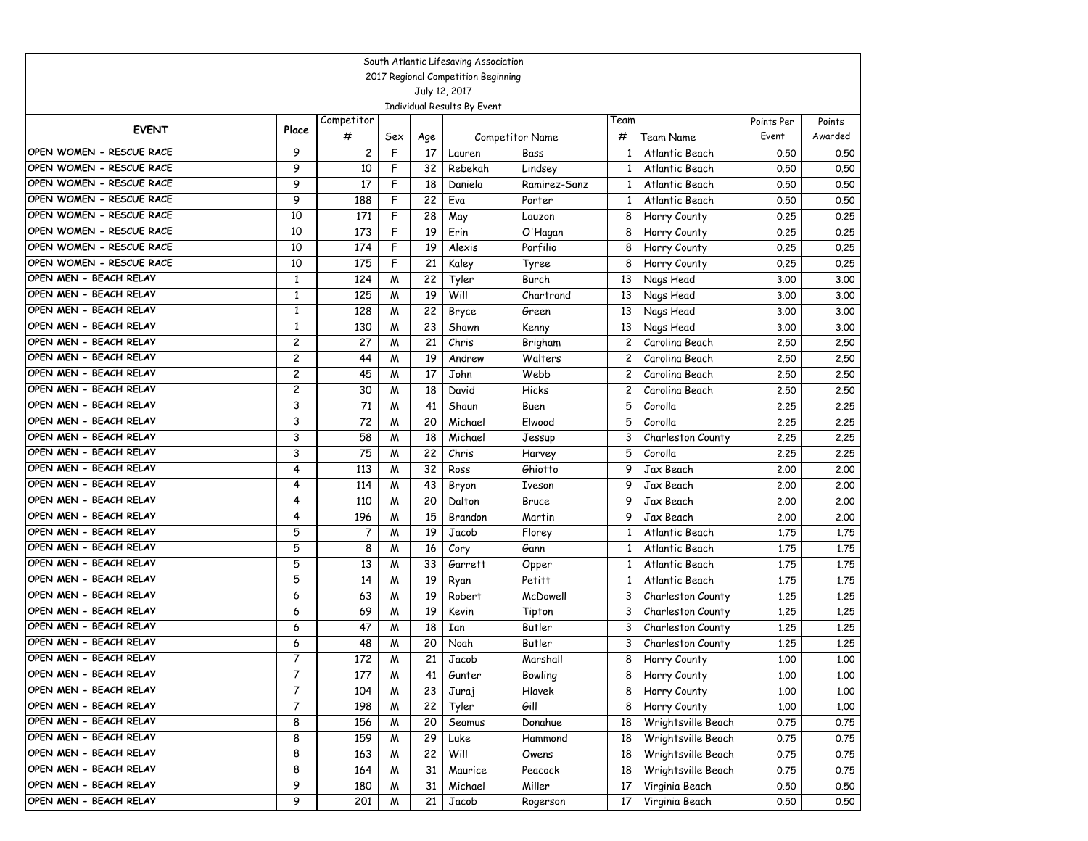|                                                  |                                     |                |     |          | South Atlantic Lifesaving Association |                 |      |                                          |              |              |  |
|--------------------------------------------------|-------------------------------------|----------------|-----|----------|---------------------------------------|-----------------|------|------------------------------------------|--------------|--------------|--|
|                                                  | 2017 Regional Competition Beginning |                |     |          |                                       |                 |      |                                          |              |              |  |
|                                                  |                                     |                |     |          | July 12, 2017                         |                 |      |                                          |              |              |  |
|                                                  |                                     |                |     |          | Individual Results By Event           |                 |      |                                          |              |              |  |
| <b>EVENT</b>                                     | Place                               | Competitor     |     |          |                                       |                 | Team |                                          | Points Per   | Points       |  |
|                                                  |                                     | #              | Sex | Age      |                                       | Competitor Name | #    | <b>Team Name</b>                         | Event        | Awarded      |  |
| OPEN WOMEN - RESCUE RACE                         | 9                                   | $\overline{c}$ | F   | 17       | Lauren                                | Bass            |      | Atlantic Beach                           | 0.50         | 0.50         |  |
| OPEN WOMEN - RESCUE RACE                         | 9                                   | 10             | F   | 32       | Rebekah                               | Lindsey         |      | Atlantic Beach                           | 0.50         | 0.50         |  |
| OPEN WOMEN - RESCUE RACE                         | 9                                   | 17             | F   | 18       | Daniela                               | Ramirez-Sanz    |      | Atlantic Beach                           | 0.50         | 0.50         |  |
| OPEN WOMEN - RESCUE RACE                         | 9                                   | 188            | F   | 22       | Eva                                   | Porter          | 1    | Atlantic Beach                           | 0.50         | 0.50         |  |
| OPEN WOMEN - RESCUE RACE                         | 10                                  | 171            | F   | 28       | May                                   | Lauzon          | 8    | Horry County                             | 0.25         | 0.25         |  |
| OPEN WOMEN - RESCUE RACE                         | 10                                  | 173            | F   | 19       | Erin                                  | O'Hagan         | 8    | Horry County                             | 0.25         | 0.25         |  |
| OPEN WOMEN - RESCUE RACE                         | 10                                  | 174            | F   | 19       | Alexis                                | Porfilio        | 8    | Horry County                             | 0.25         | 0.25         |  |
| OPEN WOMEN - RESCUE RACE                         | 10                                  | 175            | F   | 21       | Kaley                                 | Tyree           | 8    | Horry County                             | 0.25         | 0.25         |  |
| OPEN MEN - BEACH RELAY                           | $\mathbf{1}$                        | 124            | W   | 22       | Tyler                                 | Burch           | 13   | Nags Head                                | 3.00         | 3.00         |  |
| OPEN MEN - BEACH RELAY                           | $\mathbf{1}$                        | 125            | M   | 19       | Will                                  | Chartrand       | 13   | Nags Head                                | 3.00         | 3.00         |  |
| OPEN MEN - BEACH RELAY                           | $\mathbf{1}$                        | 128            | M   | 22       | Bryce                                 | Green           | 13   | Nags Head                                | 3.00         | 3.00         |  |
| OPEN MEN - BEACH RELAY                           | $\mathbf{1}$                        | 130            | M   | 23       | Shawn                                 | Kenny           | 13   | Nags Head                                | 3.00         | 3.00         |  |
| OPEN MEN - BEACH RELAY                           | $\overline{c}$                      | 27             | M   | 21       | Chris                                 | Brigham         | 2    | Carolina Beach                           | 2.50         | 2.50         |  |
| OPEN MEN - BEACH RELAY                           | $\overline{c}$                      | 44             | M   | 19       | Andrew                                | Walters         | 2    | Carolina Beach                           | 2.50         | 2.50         |  |
| OPEN MEN - BEACH RELAY                           | $\overline{c}$                      | 45             | M   | 17       | John                                  | Webb            | 2    | Carolina Beach                           | 2.50         | 2.50         |  |
| OPEN MEN - BEACH RELAY                           | 2                                   | 30             | M   | 18       | David                                 | Hicks           | 2    | Carolina Beach                           | 2.50         | 2.50         |  |
| OPEN MEN - BEACH RELAY                           | 3                                   | 71             | W   | 41       | Shaun                                 | Buen            | 5    | Corolla                                  | 2.25         | 2.25         |  |
| OPEN MEN - BEACH RELAY                           | 3                                   | 72             | M   | 20       | Michael                               | Elwood          | 5    | Corolla                                  | 2.25         | 2.25         |  |
| OPEN MEN - BEACH RELAY                           | 3                                   | 58             | M   | 18       | Michael                               | Jessup          | 3    | Charleston County                        | 2.25         | 2.25         |  |
| OPEN MEN - BEACH RELAY                           | 3                                   | 75             | M   | 22       | Chris                                 | Harvey          | 5    | Corolla                                  | 2.25         | 2.25         |  |
| OPEN MEN - BEACH RELAY                           | 4                                   | 113            | W   | 32       | Ross                                  | Ghiotto         | 9    | Jax Beach                                | 2.00         | 2,00         |  |
| OPEN MEN - BEACH RELAY                           | 4                                   | 114            | W   | 43       | Bryon                                 | Iveson          | 9    | Jax Beach                                | 2.00         | 2.00         |  |
| OPEN MEN - BEACH RELAY                           | 4                                   | 110            | W   | 20       | Dalton                                | Bruce           | 9    | Jax Beach                                | 2.00         | 2.00         |  |
| OPEN MEN - BEACH RELAY                           | 4                                   | 196            | W   | 15       | Brandon                               | Martin          | 9    | Jax Beach                                | 2.00         | 2.00         |  |
| OPEN MEN - BEACH RELAY                           | 5                                   | 7              | M   | 19       | Jacob                                 | Florey          |      | Atlantic Beach                           | 1.75         | 1.75         |  |
| OPEN MEN - BEACH RELAY                           | 5                                   | 8              | M   | 16       | Cory                                  | Gann            |      | Atlantic Beach                           | 1.75         | 1.75         |  |
| OPEN MEN - BEACH RELAY                           | 5                                   | 13             | W   | 33       | Garrett                               | Opper           | -1   | Atlantic Beach                           | 1.75         | 1.75         |  |
| OPEN MEN - BEACH RELAY<br>OPEN MEN - BEACH RELAY | 5                                   | 14             | W   | 19       | Ryan                                  | Petitt          | 1    | Atlantic Beach                           | 1.75         | 1.75         |  |
| OPEN MEN - BEACH RELAY                           | 6                                   | 63             | M   | 19       | Robert                                | McDowell        | 3    | Charleston County                        | 1,25         | 1.25         |  |
| OPEN MEN - BEACH RELAY                           | 6                                   | 69             | M   | 19       | Kevin                                 | Tipton          | 3    | Charleston County                        | 1.25         | 1.25         |  |
| OPEN MEN - BEACH RELAY                           | 6                                   | 47             | M   | 18       | Ian                                   | Butler          | 3    | Charleston County                        | 1,25         | 1,25         |  |
| OPEN MEN - BEACH RELAY                           | 6<br>7                              | 48             | M   | 20       | Noah                                  | Butler          | 3    | Charleston County                        | 1,25         | 1.25         |  |
| OPEN MEN - BEACH RELAY                           |                                     | 172            | W   | 21       | Jacob                                 | Marshall        | 8    | Horry County                             | 1.00         | 1.00         |  |
| OPEN MEN - BEACH RELAY                           | 7<br>$\overline{7}$                 | 177            | M   | 41       | Gunter                                | Bowling         |      | 8 Horry County<br>8 Horry County         | 1.00         | 1.00         |  |
| OPEN MEN - BEACH RELAY                           | 7                                   | 104            | M   | 23       | Juraj                                 | Hlavek<br>Gill  |      |                                          | 1.00         | 1.00         |  |
| OPEN MEN - BEACH RELAY                           | 8                                   | 198<br>156     | M   | 22<br>20 | Tyler                                 | Donahue         | 8    | Horry County                             | 1.00<br>0.75 | 1.00<br>0.75 |  |
| OPEN MEN - BEACH RELAY                           |                                     |                | M   |          | Seamus                                |                 | 18   | Wrightsville Beach                       |              |              |  |
| OPEN MEN - BEACH RELAY                           | 8<br>8                              | 159            | M   | 29       | Luke                                  | Hammond         | 18   | Wrightsville Beach<br>Wrightsville Beach | 0.75         | 0.75         |  |
| OPEN MEN - BEACH RELAY                           | 8                                   | 163            | M   | 22       | Will                                  | Owens           | 18   |                                          | 0.75         | 0.75         |  |
| OPEN MEN - BEACH RELAY                           | 9                                   | 164            | M   | 31       | Maurice                               | Peacock         | 18   | Wrightsville Beach                       | 0.75         | 0.75         |  |
|                                                  |                                     | 180            | M   | 31       | Michael                               | Miller          | 17   | Virginia Beach                           | 0.50         | 0.50         |  |
| OPEN MEN - BEACH RELAY                           | 9                                   | 201            | M   | 21       | Jacob                                 | Rogerson        | 17   | Virginia Beach                           | 0.50         | 0.50         |  |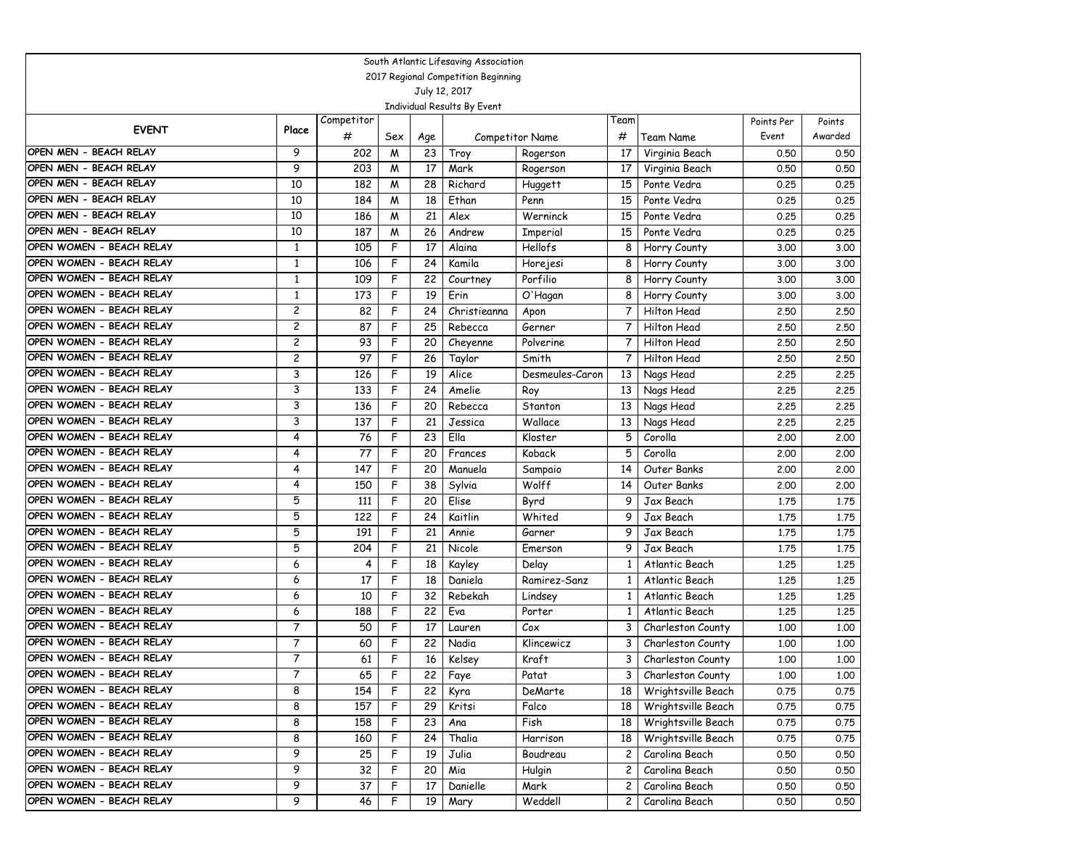|                                                  |                                  |            |        |          | South Atlantic Lifesaving Association |                          |                |                                   |              |              |
|--------------------------------------------------|----------------------------------|------------|--------|----------|---------------------------------------|--------------------------|----------------|-----------------------------------|--------------|--------------|
| 2017 Regional Competition Beginning              |                                  |            |        |          |                                       |                          |                |                                   |              |              |
|                                                  |                                  |            |        |          | July 12, 2017                         |                          |                |                                   |              |              |
|                                                  |                                  |            |        |          | Individual Results By Event           |                          |                |                                   |              |              |
| <b>EVENT</b>                                     | Place                            | Competitor |        |          |                                       |                          | Team           |                                   | Points Per   | Points       |
| OPEN MEN - BEACH RELAY                           |                                  | #          | Sex    | Age      |                                       | Competitor Name          | #              | Team Name                         | Event        | Awarded      |
|                                                  | 9                                | 202        | M      | 23       | Troy                                  | Rogerson                 | 17             | Virginia Beach                    | 0.50         | 0.50         |
| OPEN MEN - BEACH RELAY                           | 9                                | 203        | W      | 17       | Mark                                  | Rogerson                 | 17             | Virginia Beach                    | 0.50         | 0.50         |
| OPEN MEN - BEACH RELAY<br>OPEN MEN - BEACH RELAY | 10                               | 182        | W      | 28       | Richard                               | Huggett                  | 15             | Ponte Vedra                       | 0.25         | 0.25         |
| OPEN MEN - BEACH RELAY                           | 10<br>10                         | 184        | W      | 18       | Ethan                                 | Penn                     | 15             | Ponte Vedra                       | 0.25         | 0.25         |
| OPEN MEN - BEACH RELAY                           |                                  | 186        | W      | 21       | Alex                                  | Werninck                 | 15             | Ponte Vedra                       | 0.25         | 0.25         |
| OPEN WOMEN - BEACH RELAY                         | 10                               | 187        | M      | 26       | Andrew                                | Imperial                 | 15             | Ponte Vedra                       | 0.25         | 0.25         |
| OPEN WOMEN - BEACH RELAY                         | $\mathbf{1}$                     | 105        | F      | 17       | Alaina                                | Hellofs                  | 8              | Horry County                      | 3.00         | 3.00         |
| OPEN WOMEN - BEACH RELAY                         | $\mathbf{1}$<br>$\mathbf{1}$     | 106        | F<br>F | 24       | Kamila                                | Horejesi                 | 8              | Horry County                      | 3.00         | 3.00         |
| OPEN WOMEN - BEACH RELAY                         | $\mathbf{1}$                     | 109        |        | 22       | Courtney                              | Porfilio                 | 8              | Horry County                      | 3.00         | 3.00         |
| OPEN WOMEN - BEACH RELAY                         | $\overline{c}$                   | 173        | F<br>F | 19<br>24 | Erin                                  | O'Hagan                  | 8              | Horry County                      | 3.00         | 3.00         |
| OPEN WOMEN - BEACH RELAY                         |                                  | 82         | F      | 25       | Christieanna                          | Apon                     | 7<br>7         | Hilton Head<br><b>Hilton Head</b> | 2.50         | 2.50         |
| OPEN WOMEN - BEACH RELAY                         | $\overline{c}$<br>$\overline{c}$ | 87         |        |          | Rebecca                               | Gerner                   | 7              |                                   | 2.50         | 2.50         |
| OPEN WOMEN - BEACH RELAY                         | $\overline{c}$                   | 93<br>97   | F<br>F | 20       | Cheyenne                              | Polverine                | 7              | Hilton Head                       | 2.50         | 2.50         |
| OPEN WOMEN - BEACH RELAY                         | 3                                | 126        | F      | 26<br>19 | Taylor<br>Alice                       | Smith<br>Desmeules-Caron | 13             | Hilton Head                       | 2.50<br>2.25 | 2.50<br>2.25 |
| OPEN WOMEN - BEACH RELAY                         | 3                                | 133        | F      | 24       |                                       |                          |                | Nags Head                         |              |              |
| OPEN WOMEN - BEACH RELAY                         | 3                                | 136        | F      | 20       | Amelie                                | Roy                      | 13             | Nags Head                         | 2.25         | 2.25         |
| OPEN WOMEN - BEACH RELAY                         | 3                                |            | F      | 21       | Rebecca                               | Stanton<br>Wallace       | 13             | Nags Head                         | 2.25         | 2.25         |
| OPEN WOMEN - BEACH RELAY                         | 4                                | 137<br>76  | F      | 23       | Jessica<br>Ella                       | Kloster                  | 13<br>5        | Nags Head<br>Corolla              | 2.25         | 2.25         |
| OPEN WOMEN - BEACH RELAY                         | 4                                | 77         | F      | 20       | Frances                               | Koback                   | 5              | Corolla                           | 2,00         | 2.00<br>2.00 |
| OPEN WOMEN - BEACH RELAY                         | 4                                | 147        | F      | 20       | Manuela                               |                          | 14             | Outer Banks                       | 2,00         | 2.00         |
| OPEN WOMEN - BEACH RELAY                         | 4                                | 150        | F      | 38       | Sylvia                                | Sampaio<br>Wolff         | 14             | Outer Banks                       | 2,00<br>2,00 | 2.00         |
| OPEN WOMEN - BEACH RELAY                         | 5                                | 111        | F      | 20       | Elise                                 | Byrd                     | 9              | Jax Beach                         | 1,75         | 1.75         |
| OPEN WOMEN - BEACH RELAY                         | 5                                | 122        | F      | 24       | Kaitlin                               | Whited                   | 9              | Jax Beach                         | 1.75         | 1.75         |
| OPEN WOMEN - BEACH RELAY                         | 5                                | 191        | F      | 21       | Annie                                 | Garner                   | 9              | Jax Beach                         | 1.75         | 1.75         |
| OPEN WOMEN - BEACH RELAY                         | 5                                | 204        | F      | 21       | Nicole                                | Emerson                  | 9              | Jax Beach                         | 1.75         | 1.75         |
| OPEN WOMEN - BEACH RELAY                         | 6                                | 4          | F      | 18       | Kayley                                | Delay                    | 1              | Atlantic Beach                    | 1.25         | 1.25         |
| OPEN WOMEN - BEACH RELAY                         | 6                                | 17         | F      | 18       | Daniela                               | Ramirez-Sanz             | 1              | Atlantic Beach                    | 1,25         | 1.25         |
| OPEN WOMEN - BEACH RELAY                         | 6                                | 10         | F      | 32       | Rebekah                               | Lindsey                  | 1              | Atlantic Beach                    | 1,25         | 1.25         |
| OPEN WOMEN - BEACH RELAY                         | 6                                | 188        | F      | 22       | Eva                                   | Porter                   | 1              | Atlantic Beach                    | 1.25         | 1.25         |
| OPEN WOMEN - BEACH RELAY                         | $\overline{7}$                   | 50         | F      | 17       | Lauren                                | Cox                      | 3              | Charleston County                 | 1,00         | 1,00         |
| OPEN WOMEN - BEACH RELAY                         | $\overline{7}$                   | 60         | F      | 22       | Nadia                                 | Klincewicz               | 3              | Charleston County                 | 1,00         | 1.00         |
| OPEN WOMEN - BEACH RELAY                         | 7                                | 61         | F      | 16       | Kelsey                                | Kraft                    | 3              | Charleston County                 | 1,00         | 1,00         |
| OPEN WOMEN - BEACH RELAY                         | 7                                | 65         | F      | 22       | Faye                                  | Patat                    | 3              | Charleston County                 | 1.00         | 1.00         |
| OPEN WOMEN - BEACH RELAY                         | 8                                | 154        | F      | 22       | Kyra                                  | DeMarte                  | 18             | Wrightsville Beach                | 0.75         | 0.75         |
| OPEN WOMEN - BEACH RELAY                         | 8                                | 157        | F      | 29       | Kritsi                                | Falco                    | 18             | Wrightsville Beach                | 0.75         | 0.75         |
| OPEN WOMEN - BEACH RELAY                         | 8                                | 158        | F      | 23       | Ana                                   | Fish                     | 18             | Wrightsville Beach                | 0.75         | 0.75         |
| OPEN WOMEN - BEACH RELAY                         | 8                                | 160        | F      | 24       | Thalia                                | Harrison                 | 18             | Wrightsville Beach                | 0.75         | 0.75         |
| OPEN WOMEN - BEACH RELAY                         | 9                                | 25         | F      | 19       | Julia                                 | Boudreau                 | $\mathbf{2}$   | Carolina Beach                    | 0.50         | 0.50         |
| OPEN WOMEN - BEACH RELAY                         | 9                                | 32         | F.     | 20       | Mia                                   | Hulgin                   | $\overline{c}$ | Carolina Beach                    | 0.50         | 0.50         |
| OPEN WOMEN - BEACH RELAY                         | 9                                | 37         | F      | 17       | Danielle                              | Mark                     | $\mathbf{2}$   | Carolina Beach                    | 0.50         | 0.50         |
| OPEN WOMEN - BEACH RELAY                         | 9                                | 46         | F      | 19       | Mary                                  | Weddell                  | $\mathbf{2}$   | Carolina Beach                    | 0.50         | 0.50         |
|                                                  |                                  |            |        |          |                                       |                          |                |                                   |              |              |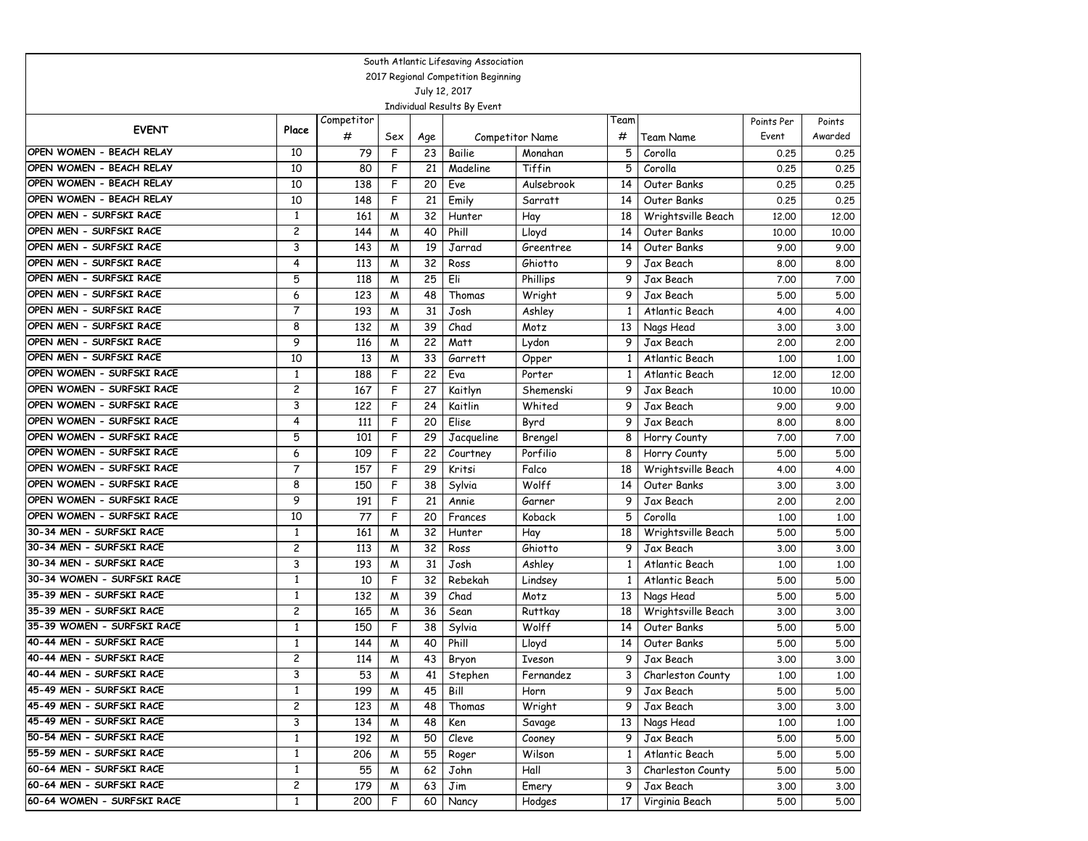|                                                      |                     |            |              |                       | South Atlantic Lifesaving Association |                     |                 |                                   |              |              |
|------------------------------------------------------|---------------------|------------|--------------|-----------------------|---------------------------------------|---------------------|-----------------|-----------------------------------|--------------|--------------|
| 2017 Regional Competition Beginning<br>July 12, 2017 |                     |            |              |                       |                                       |                     |                 |                                   |              |              |
|                                                      |                     |            |              |                       |                                       |                     |                 |                                   |              |              |
|                                                      |                     |            |              |                       | Individual Results By Event           |                     |                 |                                   |              |              |
| <b>EVENT</b>                                         | Place               | Competitor |              |                       |                                       |                     | Team            |                                   | Points Per   | Points       |
|                                                      |                     | #          | Sex          | Age                   |                                       | Competitor Name     | #               | Team Name                         | Event        | Awarded      |
| OPEN WOMEN - BEACH RELAY                             | 10                  | 79         | $\mathsf{F}$ | 23                    | Bailie                                | Monahan             | 5               | Corolla                           | 0.25         | 0.25         |
| OPEN WOMEN - BEACH RELAY                             | 10                  | 80         | F            | 21                    | Madeline                              | Tiffin              | 5               | Corolla                           | 0.25         | 0.25         |
| OPEN WOMEN - BEACH RELAY<br>OPEN WOMEN - BEACH RELAY | 10                  | 138        | F            | 20                    | Eve                                   | Aulsebrook          | 14              | Outer Banks                       | 0.25         | 0.25         |
| OPEN MEN - SURFSKI RACE                              | 10                  | 148        | F            | 21                    | Emily                                 | Sarratt             | 14              | Outer Banks                       | 0.25         | 0.25         |
| OPEN MEN - SURFSKI RACE                              | 1<br>2              | 161        | M            | 32                    | Hunter                                | Hay                 | 18              | Wrightsville Beach                | 12,00        | 12.00        |
| OPEN MEN - SURFSKI RACE                              |                     | 144        | M            | 40                    | Phill                                 | Lloyd               | 14              | Outer Banks                       | 10,00        | 10.00        |
| OPEN MEN - SURFSKI RACE                              | 3                   | 143        | M            | 19                    | Jarrad                                | Greentree           | 14              | Outer Banks                       | 9.00         | 9.00         |
| OPEN MEN - SURFSKI RACE                              | 4<br>5              | 113        | M            | 32                    | Ross                                  | Ghiotto             | 9               | Jax Beach                         | 8.00         | 8.00         |
| OPEN MEN - SURFSKI RACE                              | 6                   | 118        | M            | 25                    | Eli                                   | Phillips            | 9               | Jax Beach                         | 7.00         | 7.00         |
| OPEN MEN - SURFSKI RACE                              |                     | 123<br>193 | M            | 48<br>31              | Thomas                                | Wright              | 9               | Jax Beach                         | 5.00         | 5.00         |
| OPEN MEN - SURFSKI RACE                              | $\overline{7}$      |            | M            |                       | Josh                                  | Ashley              | $\mathbf{1}$    | Atlantic Beach                    | 4.00         | 4.00         |
| OPEN MEN - SURFSKI RACE                              | 8<br>9              | 132        | M            | 39                    | Chad                                  | Motz                | 13              | Nags Head                         | 3.00         | 3.00         |
| OPEN MEN - SURFSKI RACE                              | 10                  | 116        | M            | 22                    | Matt                                  | Lydon               | 9               | Jax Beach                         | 2,00         | 2.00         |
| OPEN WOMEN - SURFSKI RACE                            |                     | 13<br>188  | M<br>F       | 33<br>$\overline{22}$ | Garrett                               | Opper               | 1               | Atlantic Beach                    | 1,00         | 1,00         |
| OPEN WOMEN - SURFSKI RACE                            | 1<br>$\overline{c}$ | 167        | F            | 27                    | Eva                                   | Porter              | 1               | Atlantic Beach                    | 12,00        | 12,00        |
| OPEN WOMEN - SURFSKI RACE                            | 3                   | 122        | F            | 24                    | Kaitlyn                               | Shemenski           | 9               | Jax Beach                         | 10.00        | 10.00        |
| OPEN WOMEN - SURFSKI RACE                            | 4                   |            |              |                       | Kaitlin                               | Whited              | 9               | Jax Beach                         | 9.00         | 9.00         |
| OPEN WOMEN - SURFSKI RACE                            | 5                   | 111<br>101 | F<br>F       | 20<br>29              | Elise                                 | Byrd                | 9<br>8          | Jax Beach                         | 8.00         | 8.00         |
| OPEN WOMEN - SURFSKI RACE                            | 6                   | 109        | F            | 22                    | Jacqueline                            | Brengel<br>Porfilio | 8               | Horry County                      | 7.00<br>5.00 | 7.00<br>5.00 |
| OPEN WOMEN - SURFSKI RACE                            | $\overline{7}$      | 157        | F            | 29                    | Courtney<br>Kritsi                    | Falco               | 18              | Horry County                      |              | 4.00         |
| OPEN WOMEN - SURFSKI RACE                            | 8                   | 150        | F            | 38                    | Sylvia                                | Wolff               | 14              | Wrightsville Beach<br>Outer Banks | 4.00<br>3.00 | 3.00         |
| OPEN WOMEN - SURFSKI RACE                            | 9                   | 191        | F            | 21                    | Annie                                 | Garner              | 9               | Jax Beach                         | 2,00         | 2.00         |
| OPEN WOMEN - SURFSKI RACE                            | 10                  | 77         | F            | 20                    | Frances                               | Koback              | 5               | Corolla                           | 1,00         | 1,00         |
| 30-34 MEN - SURFSKI RACE                             | 1                   | 161        | M            | 32                    | Hunter                                | Hay                 | 18              | Wrightsville Beach                | 5.00         | 5.00         |
| 30-34 MEN - SURFSKI RACE                             | $\overline{c}$      | 113        | M            | 32                    | Ross                                  | Ghiotto             | 9               | Jax Beach                         | 3.00         | 3.00         |
| 30-34 MEN - SURFSKI RACE                             | 3                   | 193        | M            | 31                    | Josh                                  | Ashley              | $\mathbf{1}$    | Atlantic Beach                    | 1,00         | 1,00         |
| 30-34 WOMEN - SURFSKI RACE                           | $\mathbf{1}$        | 10         | F            | 32                    | Rebekah                               | Lindsey             | 1               | Atlantic Beach                    | 5.00         | 5.00         |
| 35-39 MEN - SURFSKI RACE                             | $\mathbf{1}$        | 132        | M            | 39                    | Chad                                  | Motz                | 13              | Nags Head                         | 5.00         | 5.00         |
| 35-39 MEN - SURFSKI RACE                             | 2                   | 165        | M            | 36                    | Sean                                  | Ruttkay             | 18              | Wrightsville Beach                | 3.00         | 3.00         |
| 35-39 WOMEN - SURFSKI RACE                           | 1                   | 150        | F            | 38                    | Sylvia                                | Wolff               | 14              | Outer Banks                       | 5.00         | 5.00         |
| 40-44 MEN - SURFSKI RACE                             | 1                   | 144        | M            | 40                    | Phill                                 | Lloyd               | 14              | Outer Banks                       | 5.00         | 5.00         |
| 40-44 MEN - SURFSKI RACE                             | $\overline{c}$      | 114        | M            | 43                    | Bryon                                 | Iveson              | 9               | Jax Beach                         | 3.00         | 3.00         |
| 40-44 MEN - SURFSKI RACE                             | 3                   | 53         | M            | 41                    | Stephen                               | Fernandez           | 3               | Charleston County                 | 1.00         | 1.00         |
| 45-49 MEN - SURFSKI RACE                             | $\mathbf{1}$        | 199        | M            | 45                    | Bill                                  | Horn                | 9               | Jax Beach                         | 5.00         | 5.00         |
| 45-49 MEN - SURFSKI RACE                             | $\overline{c}$      | 123        | M            | 48                    | Thomas                                | Wright              | 9               | Jax Beach                         | 3.00         | 3.00         |
| 45-49 MEN - SURFSKI RACE                             | 3                   | 134        | M            | 48                    | Ken                                   | Savage              | 13              | Nags Head                         | 1.00         | 1.00         |
| 50-54 MEN - SURFSKI RACE                             | 1                   | 192        | M            | 50                    | Cleve                                 | Cooney              | 9               | Jax Beach                         | 5.00         | 5.00         |
| 55-59 MEN - SURFSKI RACE                             | 1                   | 206        | M            | 55                    | Roger                                 | Wilson              | 1               | Atlantic Beach                    | 5.00         | 5.00         |
| 60-64 MEN - SURFSKI RACE                             | 1                   | 55         | M            | 62                    | John                                  | Hall                | 3               | Charleston County                 | 5.00         | 5.00         |
| 60-64 MEN - SURFSKI RACE                             | $\overline{c}$      | 179        | M            | 63                    | Jim                                   | Emery               | 9               | Jax Beach                         | 3.00         | 3.00         |
| 60-64 WOMEN - SURFSKI RACE                           | $\mathbf{1}$        | 200        | F            | 60                    | Nancy                                 | Hodges              | 17 <sup>2</sup> | Virginia Beach                    | 5.00         | 5.00         |
|                                                      |                     |            |              |                       |                                       |                     |                 |                                   |              |              |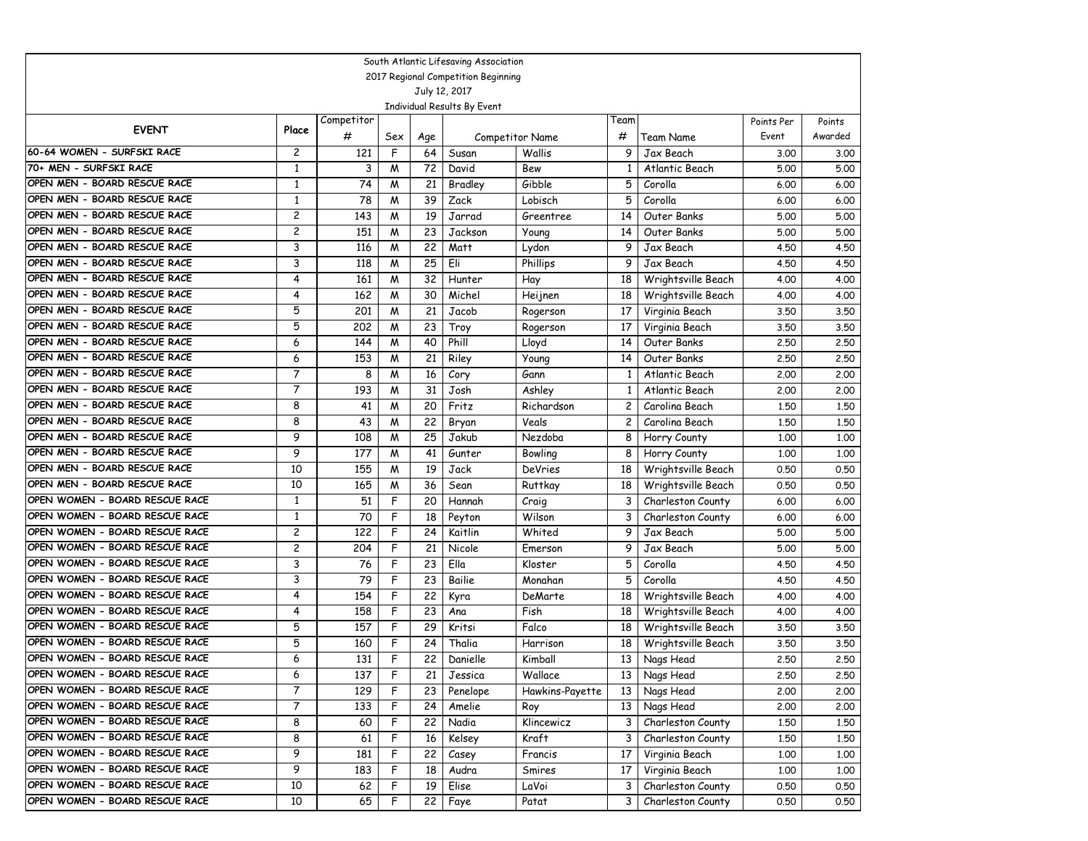|                                |                                                      |                 |                     |           | South Atlantic Lifesaving Association |                                  |                         |                        |                     |                   |  |
|--------------------------------|------------------------------------------------------|-----------------|---------------------|-----------|---------------------------------------|----------------------------------|-------------------------|------------------------|---------------------|-------------------|--|
|                                | 2017 Regional Competition Beginning<br>July 12, 2017 |                 |                     |           |                                       |                                  |                         |                        |                     |                   |  |
|                                |                                                      |                 |                     |           |                                       |                                  |                         |                        |                     |                   |  |
|                                |                                                      |                 |                     |           | Individual Results By Event           |                                  |                         |                        |                     |                   |  |
| <b>EVENT</b>                   | Place                                                | Competitor<br># |                     |           |                                       |                                  | Team<br>#               |                        | Points Per<br>Event | Points<br>Awarded |  |
| 60-64 WOMEN - SURFSKI RACE     | $\overline{c}$                                       | 121             | Sex<br>$\mathsf{F}$ | Age<br>64 | Susan                                 | <b>Competitor Name</b><br>Wallis | 9                       | Team Name<br>Jax Beach | 3.00                |                   |  |
| 70+ MEN - SURFSKI RACE         | 1                                                    | 3               | M                   | 72        | David                                 | Bew                              | 1                       | Atlantic Beach         | 5.00                | 3.00<br>5.00      |  |
| OPEN MEN - BOARD RESCUE RACE   | $\mathbf{1}$                                         | $\overline{74}$ | M                   | 21        | Bradley                               | Gibble                           | 5                       | Corolla                | 6.00                | 6.00              |  |
| OPEN MEN - BOARD RESCUE RACE   | $\mathbf{1}$                                         | 78              | M                   | 39        | Zack                                  | Lobisch                          | 5                       | Corolla                | 6.00                | 6.00              |  |
| OPEN MEN - BOARD RESCUE RACE   | 2                                                    | 143             | M                   | 19        | Jarrad                                | Greentree                        | 14                      | Outer Banks            | 5.00                | 5.00              |  |
| OPEN MEN - BOARD RESCUE RACE   | 2                                                    | 151             | M                   | 23        | Jackson                               | Young                            | 14                      | Outer Banks            | 5.00                | 5.00              |  |
| OPEN MEN - BOARD RESCUE RACE   | 3                                                    | 116             | M                   | 22        | Matt                                  | Lydon                            | 9                       | Jax Beach              | 4.50                | 4.50              |  |
| OPEN MEN - BOARD RESCUE RACE   | 3                                                    | 118             | M                   | 25        | Eli                                   | Phillips                         | 9                       | Jax Beach              | 4.50                | 4.50              |  |
| OPEN MEN - BOARD RESCUE RACE   | 4                                                    | 161             | M                   | 32        | Hunter                                | Hay                              | 18                      | Wrightsville Beach     | 4.00                | 4.00              |  |
| OPEN MEN - BOARD RESCUE RACE   | 4                                                    | 162             | M                   | 30        | Michel                                | Heijnen                          | 18                      | Wrightsville Beach     | 4.00                | 4.00              |  |
| OPEN MEN - BOARD RESCUE RACE   | 5                                                    | 201             | M                   | 21        | Jacob                                 | Rogerson                         | 17                      | Virginia Beach         | 3.50                | 3.50              |  |
| OPEN MEN - BOARD RESCUE RACE   | 5                                                    | 202             | M                   | 23        | Troy                                  | Rogerson                         | 17                      | Virginia Beach         | 3.50                | 3.50              |  |
| OPEN MEN - BOARD RESCUE RACE   | 6                                                    | 144             | M                   | 40        | Phill                                 | Lloyd                            | 14                      | Outer Banks            | 2.50                | 2.50              |  |
| OPEN MEN - BOARD RESCUE RACE   | 6                                                    | 153             | M                   | 21        | Riley                                 | Young                            | 14                      | Outer Banks            | 2.50                | 2.50              |  |
| OPEN MEN - BOARD RESCUE RACE   | $\overline{7}$                                       | 8               | M                   | 16        | Cory                                  | Gann                             | 1                       | Atlantic Beach         | 2.00                | 2.00              |  |
| OPEN MEN - BOARD RESCUE RACE   | $\overline{7}$                                       | 193             | M                   | 31        | Josh                                  | Ashley                           | $\mathbf{1}$            | Atlantic Beach         | 2,00                | 2.00              |  |
| OPEN MEN - BOARD RESCUE RACE   | 8                                                    | 41              | M                   | 20        | Fritz                                 | Richardson                       | $\overline{\mathbf{c}}$ | Carolina Beach         | 1,50                | 1.50              |  |
| OPEN MEN - BOARD RESCUE RACE   | 8                                                    | 43              | M                   | 22        | Bryan                                 | Veals                            | 2                       | Carolina Beach         | 1,50                | 1.50              |  |
| OPEN MEN - BOARD RESCUE RACE   | 9                                                    | 108             | M                   | 25        | Jakub                                 | Nezdoba                          | 8                       | Horry County           | 1,00                | 1,00              |  |
| OPEN MEN - BOARD RESCUE RACE   | 9                                                    | 177             | M                   | 41        | Gunter                                | Bowling                          | 8                       | Horry County           | 1,00                | 1,00              |  |
| OPEN MEN - BOARD RESCUE RACE   | 10                                                   | 155             | M                   | 19        | Jack                                  | <b>DeVries</b>                   | 18                      | Wrightsville Beach     | 0.50                | 0.50              |  |
| OPEN MEN - BOARD RESCUE RACE   | 10                                                   | 165             | M                   | 36        | Sean                                  | <b>Ruttkay</b>                   | 18                      | Wrightsville Beach     | 0.50                | 0.50              |  |
| OPEN WOMEN - BOARD RESCUE RACE | $\mathbf{1}$                                         | 51              | F                   | 20        | Hannah                                | Craig                            | 3                       | Charleston County      | 6.00                | 6.00              |  |
| OPEN WOMEN - BOARD RESCUE RACE | $\mathbf{1}$                                         | 70              | F                   | 18        | Peyton                                | Wilson                           | 3                       | Charleston County      | 6.00                | 6.00              |  |
| OPEN WOMEN - BOARD RESCUE RACE | 2                                                    | 122             | F                   | 24        | Kaitlin                               | Whited                           | 9                       | Jax Beach              | 5.00                | 5.00              |  |
| OPEN WOMEN - BOARD RESCUE RACE | 2                                                    | 204             | F                   | 21        | Nicole                                | Emerson                          | 9                       | Jax Beach              | 5.00                | 5.00              |  |
| OPEN WOMEN - BOARD RESCUE RACE | 3                                                    | 76              | F                   | 23        | Ella                                  | Kloster                          | 5                       | Corolla                | 4.50                | 4.50              |  |
| OPEN WOMEN - BOARD RESCUE RACE | 3                                                    | 79              | F                   | 23        | Bailie                                | Monahan                          | 5                       | Corolla                | 4.50                | 4.50              |  |
| OPEN WOMEN - BOARD RESCUE RACE | 4                                                    | 154             | F                   | 22        | Kyra                                  | DeMarte                          | 18                      | Wrightsville Beach     | 4.00                | 4.00              |  |
| OPEN WOMEN - BOARD RESCUE RACE | 4                                                    | 158             | F                   | 23        | Ana                                   | Fish                             | 18                      | Wrightsville Beach     | 4.00                | 4.00              |  |
| OPEN WOMEN - BOARD RESCUE RACE | 5                                                    | 157             | F                   | 29        | Kritsi                                | Falco                            | 18                      | Wrightsville Beach     | 3.50                | 3.50              |  |
| OPEN WOMEN - BOARD RESCUE RACE | 5                                                    | 160             | F                   | 24        | Thalia                                | Harrison                         | 18                      | Wrightsville Beach     | 3.50                | 3.50              |  |
| OPEN WOMEN - BOARD RESCUE RACE | 6                                                    | 131             | F                   | 22        | Danielle                              | Kimball                          | 13                      | Nags Head              | 2.50                | 2.50              |  |
| OPEN WOMEN - BOARD RESCUE RACE | 6                                                    | 137             | F                   | 21        | Jessica                               | Wallace                          | 13 <sup>1</sup>         | Nags Head              | 2.50                | 2.50              |  |
| OPEN WOMEN - BOARD RESCUE RACE | $\overline{7}$                                       | 129             | F                   | 23        | Penelope                              | Hawkins-Payette                  | 13                      | Nags Head              | 2.00                | 2.00              |  |
| OPEN WOMEN - BOARD RESCUE RACE | $\overline{7}$                                       | 133             | F                   | 24        | Amelie                                | Roy                              | 13                      | Nags Head              | 2.00                | 2.00              |  |
| OPEN WOMEN - BOARD RESCUE RACE | 8                                                    | 60              | F                   | 22        | Nadia                                 | Klincewicz                       | 3                       | Charleston County      | 1.50                | 1.50              |  |
| OPEN WOMEN - BOARD RESCUE RACE | 8                                                    | 61              | F                   | 16        | Kelsey                                | Kraft                            | 3                       | Charleston County      | 1.50                | 1.50              |  |
| OPEN WOMEN - BOARD RESCUE RACE | 9                                                    | 181             | F                   | 22        | Casey                                 | Francis                          | 17                      | Virginia Beach         | 1.00                | 1.00              |  |
| OPEN WOMEN - BOARD RESCUE RACE | 9                                                    | 183             | F                   | 18        | Audra                                 | Smires                           | 17                      | Virginia Beach         | 1.00                | 1.00              |  |
| OPEN WOMEN - BOARD RESCUE RACE | 10                                                   | 62              | F                   | 19        | Elise                                 | LaVoi                            | 3                       | Charleston County      | 0.50                | 0.50              |  |
| OPEN WOMEN - BOARD RESCUE RACE | 10                                                   | 65              | F                   | 22        | Faye                                  | Patat                            | 3                       | Charleston County      | 0.50                | 0.50              |  |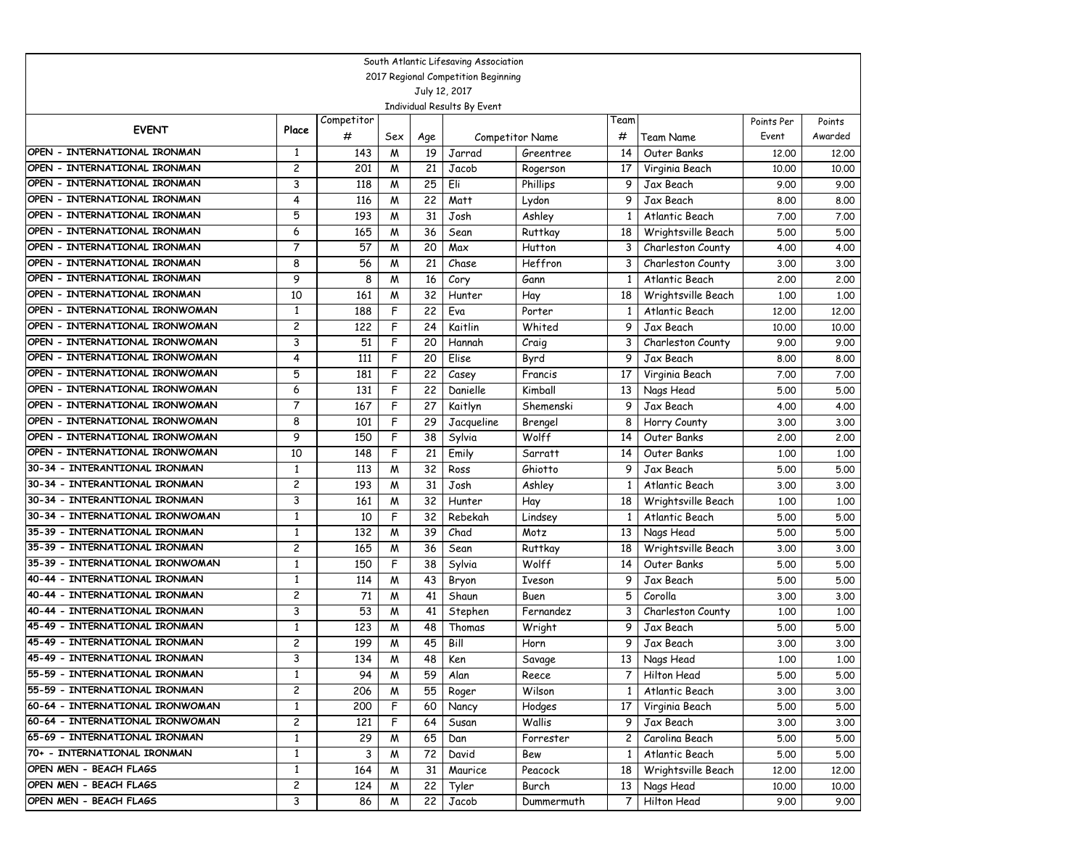| South Atlantic Lifesaving Association                            |                         |            |     |                 |            |                 |      |                    |            |         |  |
|------------------------------------------------------------------|-------------------------|------------|-----|-----------------|------------|-----------------|------|--------------------|------------|---------|--|
| 2017 Regional Competition Beginning                              |                         |            |     |                 |            |                 |      |                    |            |         |  |
| July 12, 2017                                                    |                         |            |     |                 |            |                 |      |                    |            |         |  |
| Individual Results By Event                                      |                         |            |     |                 |            |                 |      |                    |            |         |  |
| <b>EVENT</b>                                                     | Place                   | Competitor |     |                 |            |                 | Team |                    | Points Per | Points  |  |
|                                                                  |                         | #          | Sex | Age             |            | Competitor Name | #    | Team Name          | Event      | Awarded |  |
| OPEN - INTERNATIONAL IRONMAN                                     | 1                       | 143        | M   | 19              | Jarrad     | Greentree       | 14   | Outer Banks        | 12,00      | 12.00   |  |
| OPEN - INTERNATIONAL IRONMAN                                     | $\overline{c}$          | 201        | M   | 21              | Jacob      | Rogerson        | 17   | Virginia Beach     | 10.00      | 10.00   |  |
| OPEN - INTERNATIONAL IRONMAN                                     | 3                       | 118        | M   | 25              | Eli        | Phillips        | 9    | Jax Beach          | 9.00       | 9.00    |  |
| OPEN - INTERNATIONAL IRONMAN                                     | 4                       | 116        | W   | $\overline{22}$ | Matt       | Lydon           | 9    | Jax Beach          | 8.00       | 8.00    |  |
| OPEN - INTERNATIONAL IRONMAN                                     | 5                       | 193        | M   | 31              | Josh       | Ashley          | 1    | Atlantic Beach     | 7.00       | 7.00    |  |
| OPEN - INTERNATIONAL IRONMAN                                     | 6                       | 165        | M   | 36              | Sean       | Ruttkay         | 18   | Wrightsville Beach | 5.00       | 5.00    |  |
| OPEN - INTERNATIONAL IRONMAN                                     | 7                       | 57         | M   | 20              | Max        | Hutton          | 3    | Charleston County  | 4.00       | 4.00    |  |
| OPEN - INTERNATIONAL IRONMAN                                     | 8                       | 56         | M   | 21              | Chase      | Heffron         | 3    | Charleston County  | 3.00       | 3.00    |  |
| OPEN - INTERNATIONAL IRONMAN                                     | 9                       | 8          | M   | 16              | Cory       | Gann            | 1    | Atlantic Beach     | 2,00       | 2,00    |  |
| OPEN - INTERNATIONAL IRONMAN                                     | 10                      | 161        | M   | 32              | Hunter     | Hay             | 18   | Wrightsville Beach | 1,00       | 1.00    |  |
| OPEN - INTERNATIONAL IRONWOMAN                                   | $\mathbf{1}$            | 188        | F   | 22              | Eva        | Porter          | 1    | Atlantic Beach     | 12,00      | 12.00   |  |
| OPEN - INTERNATIONAL IRONWOMAN                                   | $\overline{c}$          | 122        | F   | 24              | Kaitlin    | Whited          | 9    | Jax Beach          | 10,00      | 10.00   |  |
| OPEN - INTERNATIONAL IRONWOMAN                                   | 3                       | 51         | F   | 20              | Hannah     | Craig           | 3    | Charleston County  | 9.00       | 9.00    |  |
| OPEN - INTERNATIONAL IRONWOMAN                                   | 4                       | 111        | F   | 20              | Elise      | Byrd            | 9    | Jax Beach          | 8.00       | 8.00    |  |
| OPEN - INTERNATIONAL IRONWOMAN                                   | 5                       | 181        | F   | 22              | Casey      | Francis         | 17   | Virginia Beach     | 7.00       | 7.00    |  |
| OPEN - INTERNATIONAL IRONWOMAN                                   | 6                       | 131        | F   | 22              | Danielle   | Kimball         | 13   | Nags Head          | 5.00       | 5.00    |  |
| OPEN - INTERNATIONAL IRONWOMAN                                   | 7                       | 167        | F   | 27              | Kaitlyn    | Shemenski       | 9    | Jax Beach          | 4.00       | 4.00    |  |
| OPEN - INTERNATIONAL IRONWOMAN                                   | 8                       | 101        | F   | 29              | Jacqueline | Brengel         | 8    | Horry County       | 3.00       | 3.00    |  |
| OPEN - INTERNATIONAL IRONWOMAN                                   | 9                       | 150        | F   | 38              | Sylvia     | Wolff           | 14   | Outer Banks        | 2,00       | 2.00    |  |
| OPEN - INTERNATIONAL IRONWOMAN                                   | 10                      | 148        | F   | 21              | Emily      | Sarratt         | 14   | Outer Banks        | 1,00       | 1,00    |  |
| 30-34 - INTERANTIONAL IRONMAN                                    | $\mathbf{1}$            | 113        | M   | 32              | Ross       | Ghiotto         | 9    | Jax Beach          | 5.00       | 5.00    |  |
| 30-34 - INTERANTIONAL IRONMAN                                    | $\overline{c}$          | 193        | M   | $\overline{31}$ | Josh       | Ashley          |      | Atlantic Beach     | 3.00       | 3.00    |  |
| 30-34 - INTERANTIONAL IRONMAN                                    | 3                       | 161        | W   | 32              | Hunter     | Hay             | 18   | Wrightsville Beach | 1,00       | 1,00    |  |
| 30-34 - INTERNATIONAL IRONWOMAN                                  | $\mathbf{1}$            | 10         | F   | 32              | Rebekah    | Lindsey         | 1    | Atlantic Beach     | 5.00       | 5.00    |  |
| 35-39 - INTERNATIONAL IRONMAN                                    | $\mathbf{1}$            | 132        | W   | 39              | Chad       | Motz            | 13   | Nags Head          | 5.00       | 5.00    |  |
| 35-39 - INTERNATIONAL IRONMAN                                    | 2                       | 165        | M   | 36              | Sean       | Ruttkay         | 18   | Wrightsville Beach | 3.00       | 3.00    |  |
| 35-39 - INTERNATIONAL IRONWOMAN                                  | $\mathbf{1}$            | 150        | F   | 38              | Sylvia     | Wolff           | 14   | Outer Banks        | 5.00       | 5.00    |  |
| 40-44 - INTERNATIONAL IRONMAN                                    | $\mathbf{1}$            | 114        | M   | 43              | Bryon      | Iveson          | 9    | Jax Beach          | 5.00       | 5.00    |  |
| 40-44 - INTERNATIONAL IRONMAN                                    | 2                       | 71         | M   | 41              | Shaun      | Buen            | 5    | Corolla            | 3.00       | 3.00    |  |
| 40-44 - INTERNATIONAL IRONMAN                                    | 3                       | 53         | M   | 41              | Stephen    | Fernandez       | 3    | Charleston County  | 1,00       | 1,00    |  |
| 45-49 - INTERNATIONAL IRONMAN<br>45-49 - INTERNATIONAL IRONMAN   | $\mathbf{1}$            | 123        | M   | 48              | Thomas     | Wright          | 9    | Jax Beach          | 5.00       | 5.00    |  |
| 45-49 - INTERNATIONAL IRONMAN                                    | 2<br>3                  | 199        | M   | 45              | Bill       | Horn            | 9    | Jax Beach          | 3.00       | 3.00    |  |
| 55-59 - INTERNATIONAL IRONMAN                                    |                         | 134        | М   | 48              | Ken        | Savage          | 13   | Nags Head          | 1,00       | 1,00    |  |
|                                                                  | $\mathbf{1}$            | 94         | M   | 59              | Alan       | Reece           |      | 7   Hilton Head    | 5.00       | 5.00    |  |
| 55-59 - INTERNATIONAL IRONMAN<br>60-64 - INTERNATIONAL IRONWOMAN | $\overline{\mathbf{c}}$ | 206        | M   | 55              | Roger      | Wilson          | 1    | Atlantic Beach     | 3.00       | 3.00    |  |
| 60-64 - INTERNATIONAL IRONWOMAN                                  | $\mathbf{1}$            | 200        | F   | 60              | Nancy      | Hodges          | 17   | Virginia Beach     | 5.00       | 5.00    |  |
|                                                                  | 2                       | 121        | F   | 64              | Susan      | Wallis          | 9    | Jax Beach          | 3.00       | 3.00    |  |
| 65-69 - INTERNATIONAL IRONMAN<br>70+ - INTERNATIONAL IRONMAN     | $\mathbf{1}$            | 29         | M   | 65              | Dan        | Forrester       | 2    | Carolina Beach     | 5.00       | 5.00    |  |
|                                                                  | $\mathbf{1}$            | 3          | M   | 72              | David      | Bew             | 1    | Atlantic Beach     | 5.00       | 5.00    |  |
| OPEN MEN - BEACH FLAGS<br>OPEN MEN - BEACH FLAGS                 | $\mathbf{1}$            | 164        | M   | 31              | Maurice    | Peacock         | 18   | Wrightsville Beach | 12.00      | 12.00   |  |
|                                                                  | $\overline{\mathbf{c}}$ | 124        | M   | 22              | Tyler      | Burch           | 13   | Nags Head          | 10.00      | 10.00   |  |
| OPEN MEN - BEACH FLAGS                                           | 3                       | 86         | M   | 22              | Jacob      | Dummermuth      | 7    | Hilton Head        | 9.00       | 9.00    |  |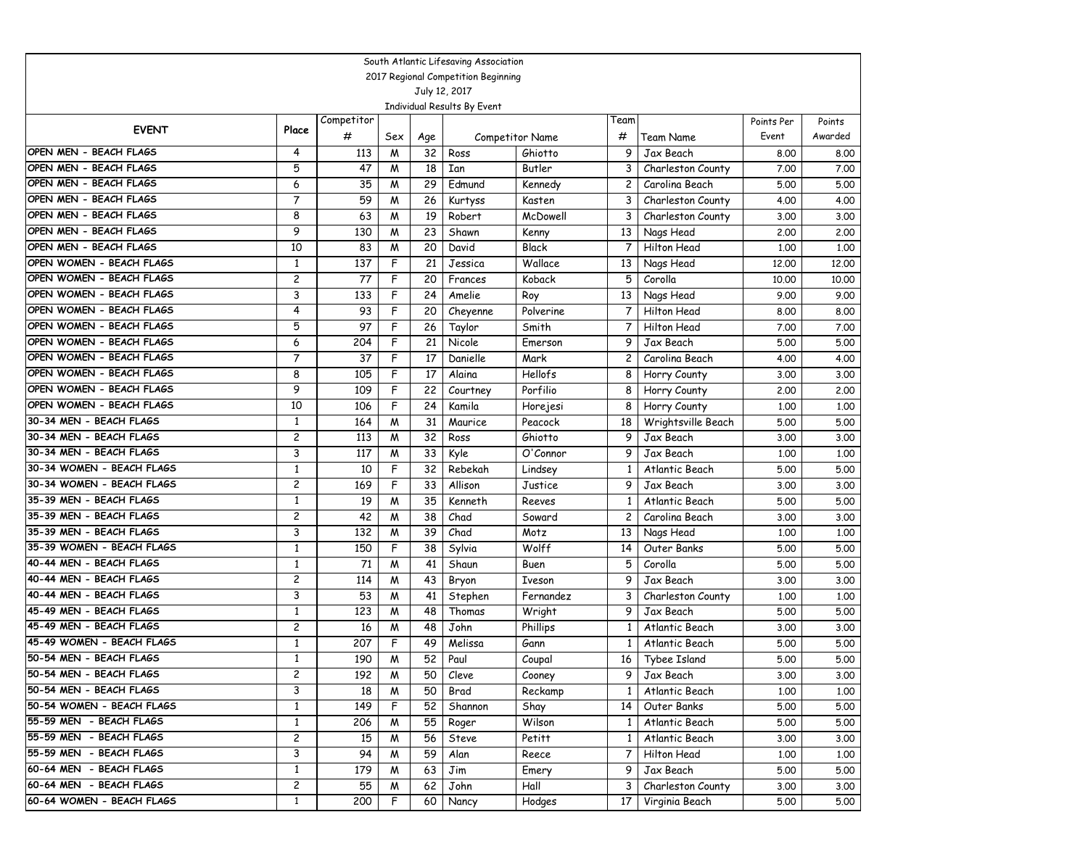| South Atlantic Lifesaving Association                |                                         |            |        |                 |                    |                            |                         |                                  |              |              |  |
|------------------------------------------------------|-----------------------------------------|------------|--------|-----------------|--------------------|----------------------------|-------------------------|----------------------------------|--------------|--------------|--|
| 2017 Regional Competition Beginning                  |                                         |            |        |                 |                    |                            |                         |                                  |              |              |  |
| July 12, 2017                                        |                                         |            |        |                 |                    |                            |                         |                                  |              |              |  |
| Individual Results By Event                          |                                         |            |        |                 |                    |                            |                         |                                  |              |              |  |
| <b>EVENT</b>                                         | Place                                   | Competitor |        |                 |                    |                            | Team                    |                                  | Points Per   | Points       |  |
|                                                      |                                         | #          | Sex    | Age             |                    | Competitor Name            | #                       | Team Name                        | Event        | Awarded      |  |
| OPEN MEN - BEACH FLAGS                               | 4                                       | 113        | W      | 32              | Ross               | Ghiotto                    | 9                       | Jax Beach                        | 8.00         | 8.00         |  |
| OPEN MEN - BEACH FLAGS                               | 5                                       | 47         | M      | 18              | Ian                | Butler                     | 3                       | Charleston County                | 7.00         | 7.00         |  |
| OPEN MEN - BEACH FLAGS                               | 6                                       | 35         | M      | 29              | Edmund             | Kennedy                    | $\overline{\mathbf{c}}$ | Carolina Beach                   | 5.00         | 5.00         |  |
| OPEN MEN - BEACH FLAGS                               | $\overline{7}$                          | 59         | M      | 26              | Kurtyss            | Kasten                     | 3                       | Charleston County                | 4.00         | 4.00         |  |
| OPEN MEN - BEACH FLAGS<br>OPEN MEN - BEACH FLAGS     | 8                                       | 63         | M      | 19              | Robert             | McDowell                   | 3                       | Charleston County                | 3.00         | 3.00         |  |
|                                                      | 9                                       | 130        | M      | 23              | Shawn              | Kenny                      | 13                      | Nags Head                        | 2,00         | 2,00         |  |
| OPEN MEN - BEACH FLAGS                               | 10                                      | 83         | M      | 20              | David              | Black                      | 7                       | Hilton Head                      | 1,00         | 1.00         |  |
| OPEN WOMEN - BEACH FLAGS<br>OPEN WOMEN - BEACH FLAGS | 1                                       | 137        | F      | 21              | Jessica            | Wallace                    | 13                      | Nags Head                        | 12,00        | 12,00        |  |
|                                                      | 2                                       | 77         | F      | 20              | Frances            | Koback                     | 5                       | Corolla                          | 10,00        | 10.00        |  |
| OPEN WOMEN - BEACH FLAGS                             | 3                                       | 133        | F      | 24              | Amelie             | Roy                        | 13                      | Nags Head                        | 9.00         | 9.00         |  |
| OPEN WOMEN - BEACH FLAGS                             | 4                                       | 93         | F      | 20              | Cheyenne           | Polverine                  | 7                       | Hilton Head                      | 8.00         | 8.00         |  |
| OPEN WOMEN - BEACH FLAGS<br>OPEN WOMEN - BEACH FLAGS | 5                                       | 97         | F      | 26              | Taylor             | Smith                      | 7                       | Hilton Head                      | 7.00         | 7.00         |  |
| OPEN WOMEN - BEACH FLAGS                             | 6                                       | 204        | F      | 21              | Nicole             | Emerson                    | 9                       | Jax Beach                        | 5.00         | 5.00         |  |
| OPEN WOMEN - BEACH FLAGS                             | $\overline{7}$                          | 37         | F<br>F | 17              | Danielle           | Mark                       | $\overline{\mathbf{c}}$ | Carolina Beach                   | 4.00         | 4.00         |  |
| OPEN WOMEN - BEACH FLAGS                             | 8                                       | 105        |        | $\overline{17}$ | Alaina             | <b>Hellofs</b>             | 8                       | Horry County                     | 3.00         | 3.00         |  |
| OPEN WOMEN - BEACH FLAGS                             | 9                                       | 109        | F      | 22              | Courtney           | Porfilio                   | 8                       | Horry County                     | 2,00         | 2.00         |  |
| 30-34 MEN - BEACH FLAGS                              | 10                                      | 106        | F      | 24              | Kamila             | Horejesi                   | 8                       | Horry County                     | 1,00         | 1.00         |  |
| 30-34 MEN - BEACH FLAGS                              | 1                                       | 164        | M      | 31              | Maurice            | Peacock                    | 18                      | Wrightsville Beach               | 5.00         | 5.00         |  |
| 30-34 MEN - BEACH FLAGS                              | 2                                       | 113        | M      | 32              | Ross               | Ghiotto                    | 9                       | Jax Beach                        | 3.00         | 3.00         |  |
| 30-34 WOMEN - BEACH FLAGS                            | 3                                       | 117        | M      | 33              | Kyle               | O'Connor                   | 9                       | Jax Beach                        | 1,00         | 1,00         |  |
| 30-34 WOMEN - BEACH FLAGS                            | 1                                       | 10<br>169  | F<br>F | 32<br>33        | Rebekah<br>Allison | Lindsey                    | $\mathbf{1}$            | Atlantic Beach<br>Jax Beach      | 5.00         | 5.00         |  |
| 35-39 MEN - BEACH FLAGS                              | 2                                       |            |        | 35              |                    | Justice                    | 9                       |                                  | 3.00         | 3.00         |  |
| 35-39 MEN - BEACH FLAGS                              | $\mathbf{1}$<br>$\overline{\mathbf{c}}$ | 19<br>42   | M      | 38              | Kenneth            | Reeves                     | 1                       | Atlantic Beach<br>Carolina Beach | 5.00         | 5.00         |  |
| 35-39 MEN - BEACH FLAGS                              | 3                                       |            | M      | 39              | Chad<br>Chad       | Soward                     | $\overline{c}$          |                                  | 3.00         | 3.00         |  |
| 35-39 WOMEN - BEACH FLAGS                            |                                         | 132        | M<br>F |                 |                    | Motz<br>Wolff              | 13                      | Nags Head<br>Outer Banks         | 1,00         | 1,00         |  |
| 40-44 MEN - BEACH FLAGS                              | 1<br>1                                  | 150        |        | 38<br>41        | Sylvia<br>Shaun    |                            | 14<br>5                 | Corolla                          | 5.00         | 5.00         |  |
| 40-44 MEN - BEACH FLAGS                              | $\overline{c}$                          | 71<br>114  | M      | 43              |                    | Buen                       | 9                       |                                  | 5.00         | 5.00         |  |
| 40-44 MEN - BEACH FLAGS                              | 3                                       | 53         | M      | 41              | Bryon              | <b>Iveson</b><br>Fernandez |                         | Jax Beach                        | 3.00         | 3.00         |  |
| 45-49 MEN - BEACH FLAGS                              | 1                                       | 123        | M<br>M | 48              | Stephen<br>Thomas  |                            | 3<br>9                  | Charleston County<br>Jax Beach   | 1,00<br>5.00 | 1,00<br>5.00 |  |
| 45-49 MEN - BEACH FLAGS                              | 2                                       | 16         | M      | 48              | John               | Wright<br>Phillips         | 1                       | Atlantic Beach                   | 3.00         | 3.00         |  |
| 45-49 WOMEN - BEACH FLAGS                            | 1                                       | 207        | F      | 49              | Melissa            | Gann                       | 1                       | Atlantic Beach                   | 5.00         | 5.00         |  |
| 50-54 MEN - BEACH FLAGS                              | $\mathbf{1}$                            | 190        | M      | 52              | Paul               | Coupal                     | 16                      | Tybee Island                     | 5.00         | 5.00         |  |
| 50-54 MEN - BEACH FLAGS                              | 2                                       | 192        | M      | 50              | Cleve              | Cooney                     | 9.                      | Jax Beach                        | 3.00         | 3.00         |  |
| 50-54 MEN - BEACH FLAGS                              | 3                                       | 18         | M      | 50              | Brad               | Reckamp                    | $\mathbf{1}$            | Atlantic Beach                   | 1.00         | 1.00         |  |
| 50-54 WOMEN - BEACH FLAGS                            | $\mathbf{1}$                            | 149        | F      | 52              | Shannon            | Shay                       | 14                      | Outer Banks                      | 5.00         | 5.00         |  |
| 55-59 MEN - BEACH FLAGS                              | 1                                       | 206        | M      | 55              | Roger              | Wilson                     | 1                       | Atlantic Beach                   | 5.00         | 5.00         |  |
| 55-59 MEN - BEACH FLAGS                              | 2                                       | 15         | M      | 56              | Steve              | Petitt                     | 1                       | Atlantic Beach                   | 3.00         | 3.00         |  |
| 55-59 MEN - BEACH FLAGS                              | 3                                       | 94         | M      | 59              | Alan               | Reece                      | 7                       | Hilton Head                      | 1.00         | 1.00         |  |
| 60-64 MEN - BEACH FLAGS                              | 1                                       | 179        | M      | 63              | Jim                |                            | 9                       | Jax Beach                        | 5.00         | 5.00         |  |
| 60-64 MEN - BEACH FLAGS                              | $\overline{c}$                          | 55         | M      | 62              | John               | Emery<br>Hall              | 3                       | Charleston County                | 3.00         | 3.00         |  |
| 60-64 WOMEN - BEACH FLAGS                            | $\mathbf{1}$                            | 200        | F      |                 |                    |                            |                         |                                  |              | 5.00         |  |
|                                                      |                                         |            |        | 60              | Nancy              | Hodges                     | 17                      | Virginia Beach                   | 5.00         |              |  |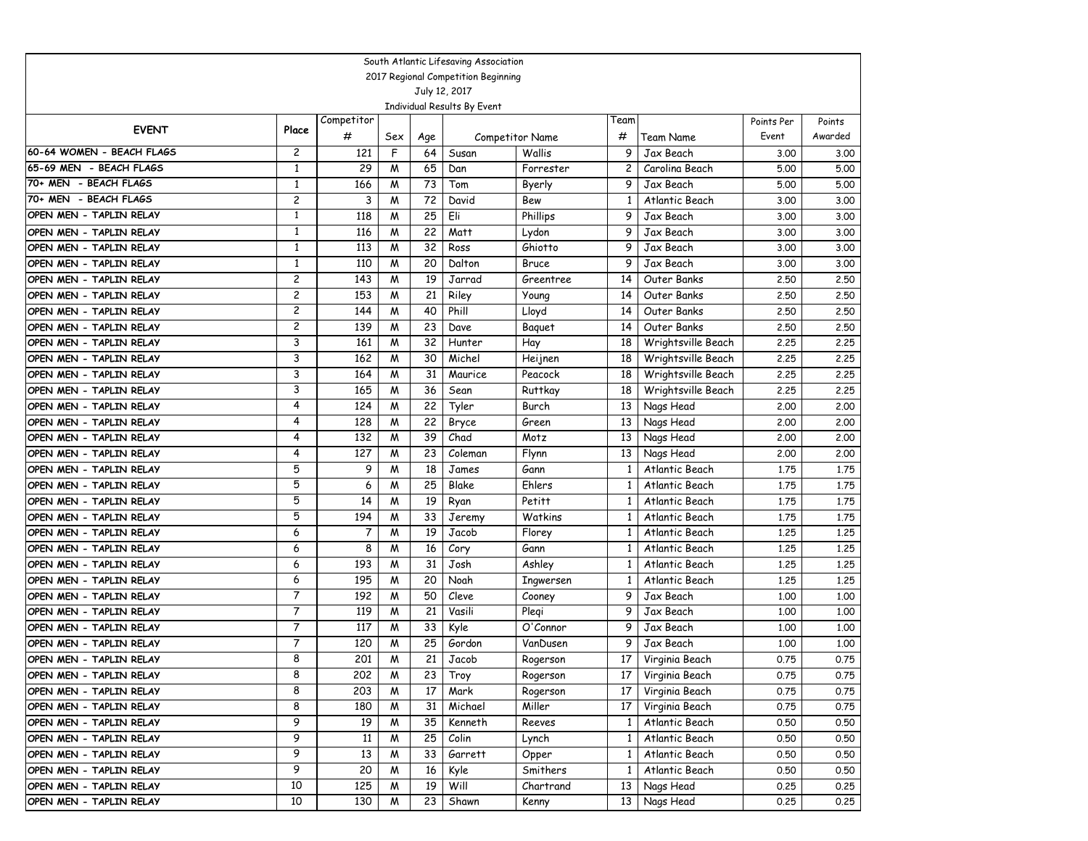| South Atlantic Lifesaving Association              |                |                 |          |           |                             |                 |              |                                  |                     |                   |
|----------------------------------------------------|----------------|-----------------|----------|-----------|-----------------------------|-----------------|--------------|----------------------------------|---------------------|-------------------|
| 2017 Regional Competition Beginning                |                |                 |          |           |                             |                 |              |                                  |                     |                   |
| July 12, 2017                                      |                |                 |          |           |                             |                 |              |                                  |                     |                   |
|                                                    |                |                 |          |           | Individual Results By Event |                 |              |                                  |                     |                   |
| <b>EVENT</b>                                       | Place          | Competitor<br># |          |           |                             | Competitor Name | Team<br>#    | Team Name                        | Points Per<br>Event | Points<br>Awarded |
| 60-64 WOMEN - BEACH FLAGS                          | $\overline{c}$ | 121             | Sex<br>F | Age<br>64 | Susan                       | Wallis          | 9            | Jax Beach                        | 3.00                | 3.00              |
| 65-69 MEN - BEACH FLAGS                            | 1              | 29              | W        | 65        | Dan                         | Forrester       | 2            | Carolina Beach                   | 5.00                | 5.00              |
| 70+ MEN - BEACH FLAGS                              | $\mathbf{1}$   | 166             | M        | 73        | Tom                         | Byerly          | 9            | Jax Beach                        | 5.00                | 5.00              |
| 70+ MEN - BEACH FLAGS                              | 2              | 3               | W        | 72        | David                       | Bew             | 1            | Atlantic Beach                   | 3.00                | 3.00              |
| OPEN MEN - TAPLIN RELAY                            | $\mathbf{1}$   | 118             | M        | 25        | Eli                         | Phillips        | 9            | Jax Beach                        | 3.00                | 3.00              |
| OPEN MEN - TAPLIN RELAY                            | 1              | 116             | M        | 22        | Matt                        | Lydon           | 9            | Jax Beach                        | 3.00                | 3.00              |
| OPEN MEN - TAPLIN RELAY                            | $\mathbf{1}$   | 113             | M        | 32        | Ross                        | Ghiotto         | 9            | Jax Beach                        | 3.00                | 3.00              |
| OPEN MEN - TAPLIN RELAY                            | $\mathbf{1}$   | 110             | M        | 20        | Dalton                      | <b>Bruce</b>    | 9            | Jax Beach                        | 3.00                | 3.00              |
| OPEN MEN - TAPLIN RELAY                            | $\overline{c}$ | 143             | M        | 19        | Jarrad                      | Greentree       | 14           | Outer Banks                      | 2.50                | 2.50              |
| OPEN MEN - TAPLIN RELAY                            | $\overline{c}$ | 153             | M        | 21        | Riley                       | Young           | 14           | Outer Banks                      | 2.50                | 2.50              |
| OPEN MEN - TAPLIN RELAY                            | $\overline{c}$ | 144             | M        | 40        | Phill                       | Lloyd           | 14           | Outer Banks                      | 2.50                | 2.50              |
| OPEN MEN - TAPLIN RELAY                            | $\overline{c}$ | 139             | M        | 23        | Dave                        | Baguet          | 14           | Outer Banks                      | 2.50                | 2.50              |
| OPEN MEN - TAPLIN RELAY                            | 3              | 161             | M        | 32        | Hunter                      | Hay             | 18           | Wrightsville Beach               | 2.25                | 2.25              |
| OPEN MEN - TAPLIN RELAY                            | 3              | 162             | M        | 30        | Michel                      | Heijnen         | 18           | Wrightsville Beach               | 2.25                | 2.25              |
| OPEN MEN - TAPLIN RELAY                            | 3              | 164             | M        | 31        | Maurice                     | Peacock         | 18           | Wrightsville Beach               | 2.25                | 2.25              |
| OPEN MEN - TAPLIN RELAY                            | 3              | 165             | M        | 36        | Sean                        | <b>Ruttkay</b>  | 18           | Wrightsville Beach               | 2.25                | 2.25              |
| OPEN MEN - TAPLIN RELAY                            | 4<br>4         | 124             | W        | 22        | Tyler                       | Burch           | 13           | Nags Head                        | 2,00                | 2.00              |
| OPEN MEN - TAPLIN RELAY<br>OPEN MEN - TAPLIN RELAY | 4              | 128<br>132      | W<br>M   | 22<br>39  | Bryce<br>Chad               | Green<br>Motz   | 13<br>13     | Nags Head                        | 2,00<br>2,00        | 2.00<br>2.00      |
| OPEN MEN - TAPLIN RELAY                            | 4              | 127             | W        | 23        | Coleman                     | Flynn           | 13           | Nags Head<br>Nags Head           | 2,00                | 2.00              |
| OPEN MEN - TAPLIN RELAY                            | 5              | 9               | W        | 18        | James                       | Gann            | 1            | Atlantic Beach                   | 1.75                | 1.75              |
| OPEN MEN - TAPLIN RELAY                            | 5              | 6               | W        | 25        | Blake                       | Ehlers          | 1            | Atlantic Beach                   | 1.75                | 1.75              |
| OPEN MEN - TAPLIN RELAY                            | 5              | 14              | W        | 19        | Ryan                        | Petitt          | 1            | Atlantic Beach                   | 1.75                | 1.75              |
| OPEN MEN - TAPLIN RELAY                            | 5              | 194             | W        | 33        | Jeremy                      | Watkins         | 1            | Atlantic Beach                   | 1.75                | 1.75              |
| OPEN MEN - TAPLIN RELAY                            | 6              | 7               | M        | 19        | Jacob                       | Florey          | 1            | Atlantic Beach                   | 1,25                | 1.25              |
| OPEN MEN - TAPLIN RELAY                            | 6              | 8               | M        | 16        | Cory                        | Gann            | 1            | Atlantic Beach                   | 1,25                | 1.25              |
| OPEN MEN - TAPLIN RELAY                            | 6              | 193             | W        | 31        | Josh                        | Ashley          | 1            | Atlantic Beach                   | 1.25                | 1.25              |
| OPEN MEN - TAPLIN RELAY                            | 6              | 195             | W        | 20        | Noah                        | Ingwersen       | 1            | Atlantic Beach                   | 1,25                | 1.25              |
| OPEN MEN - TAPLIN RELAY                            | $\overline{7}$ | 192             | M        | 50        | Cleve                       | Cooney          | 9            | Jax Beach                        | 1,00                | 1.00              |
| OPEN MEN - TAPLIN RELAY                            | $\overline{7}$ | 119             | M        | 21        | Vasili                      | Plegi           | 9            | Jax Beach                        | 1,00                | 1.00              |
| OPEN MEN - TAPLIN RELAY                            | $\overline{7}$ | 117             | M        | 33        | Kyle                        | O'Connor        | 9            | Jax Beach                        | 1,00                | 1,00              |
| OPEN MEN - TAPLIN RELAY                            | $\overline{7}$ | 120             | M        | 25        | Gordon                      | VanDusen        | 9            | Jax Beach                        | 1,00                | 1.00              |
| OPEN MEN - TAPLIN RELAY                            | 8              | 201             | W        | 21        | Jacob                       | Rogerson        | 17           | Virginia Beach                   | 0.75                | 0.75              |
| OPEN MEN - TAPLIN RELAY                            | 8              | 202             | M        | 23        | Troy                        | Rogerson        | 17           | Virginia Beach                   | 0.75                | 0.75              |
| OPEN MEN - TAPLIN RELAY                            | 8              | 203             | M        | 17        | Mark                        | Rogerson        | 17           | Virginia Beach                   | 0.75                | 0.75              |
| OPEN MEN - TAPLIN RELAY                            | 8<br>9         | 180             | M        | 31<br>35  | Michael<br>Kenneth          | Miller          | 17           | Virginia Beach                   | 0.75                | 0.75<br>0.50      |
| OPEN MEN - TAPLIN RELAY<br>OPEN MEN - TAPLIN RELAY | 9              | 19              | M        | 25        | Colin                       | Reeves<br>Lynch | $\mathbf{1}$ | Atlantic Beach<br>Atlantic Beach | 0.50<br>0.50        | 0.50              |
| OPEN MEN - TAPLIN RELAY                            | 9              | 11<br>13        | M<br>M   | 33        | Garrett                     | Opper           | 1<br>1       | Atlantic Beach                   | 0.50                | 0.50              |
| OPEN MEN - TAPLIN RELAY                            | 9              | 20              | M        | 16        | Kyle                        | Smithers        | 1            | Atlantic Beach                   | 0.50                | 0.50              |
| OPEN MEN - TAPLIN RELAY                            | 10             | 125             | M        | 19        | Will                        | Chartrand       | 13           | Nags Head                        | 0.25                | 0.25              |
| OPEN MEN - TAPLIN RELAY                            | 10             | 130             | M        | 23        | Shawn                       | Kenny           |              | 13 Nags Head                     | 0.25                | 0.25              |
|                                                    |                |                 |          |           |                             |                 |              |                                  |                     |                   |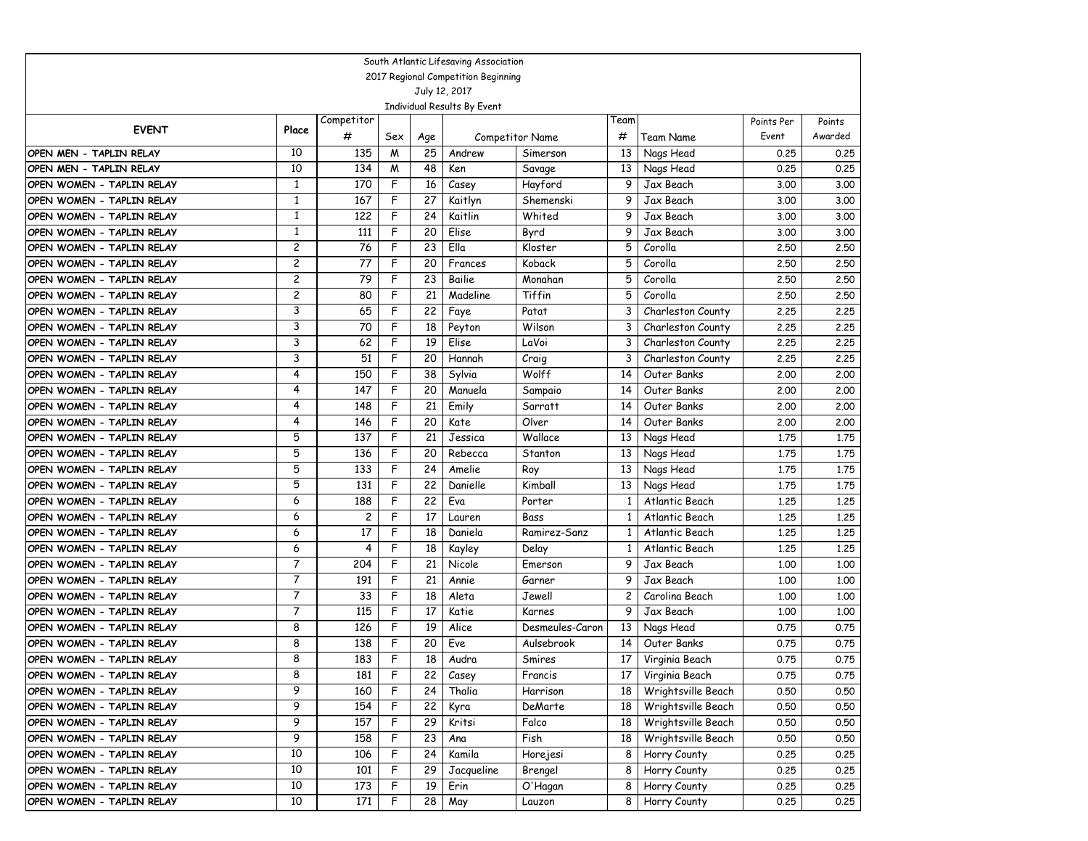| South Atlantic Lifesaving Association |                |                |     |     |            |                 |      |                    |            |         |  |
|---------------------------------------|----------------|----------------|-----|-----|------------|-----------------|------|--------------------|------------|---------|--|
| 2017 Regional Competition Beginning   |                |                |     |     |            |                 |      |                    |            |         |  |
| July 12, 2017                         |                |                |     |     |            |                 |      |                    |            |         |  |
| Individual Results By Event           |                |                |     |     |            |                 |      |                    |            |         |  |
| <b>EVENT</b>                          | Place          | Competitor     |     |     |            |                 | Team |                    | Points Per | Points  |  |
|                                       |                | #              | Sex | Age |            | Competitor Name | #    | Team Name          | Event      | Awarded |  |
| OPEN MEN - TAPLIN RELAY               | 10             | 135            | M   | 25  | Andrew     | Simerson        | 13   | Nags Head          | 0.25       | 0.25    |  |
| OPEN MEN - TAPLIN RELAY               | 10             | 134            | M   | 48  | Ken        | Savage          | 13   | Nags Head          | 0.25       | 0.25    |  |
| OPEN WOMEN - TAPLIN RELAY             | $\mathbf{1}$   | 170            | F   | 16  | Casey      | Hayford         | 9    | Jax Beach          | 3.00       | 3.00    |  |
| OPEN WOMEN - TAPLIN RELAY             | $\mathbf{1}$   | 167            | F   | 27  | Kaitlyn    | Shemenski       | 9    | Jax Beach          | 3.00       | 3.00    |  |
| OPEN WOMEN - TAPLIN RELAY             | $\mathbf{1}$   | 122            | F   | 24  | Kaitlin    | Whited          | 9    | Jax Beach          | 3.00       | 3.00    |  |
| OPEN WOMEN - TAPLIN RELAY             | 1              | 111            | F   | 20  | Elise      | Byrd            | 9    | Jax Beach          | 3.00       | 3.00    |  |
| OPEN WOMEN - TAPLIN RELAY             | $\overline{c}$ | 76             | F   | 23  | Ella       | Kloster         | 5    | Corolla            | 2.50       | 2.50    |  |
| OPEN WOMEN - TAPLIN RELAY             | $\overline{c}$ | 77             | F   | 20  | Frances    | Koback          | 5    | Corolla            | 2.50       | 2.50    |  |
| OPEN WOMEN - TAPLIN RELAY             | $\overline{c}$ | 79             | F   | 23  | Bailie     | Monahan         | 5    | Corolla            | 2.50       | 2.50    |  |
| OPEN WOMEN - TAPLIN RELAY             | $\overline{c}$ | 80             | F   | 21  | Madeline   | Tiffin          | 5    | Corolla            | 2.50       | 2.50    |  |
| OPEN WOMEN - TAPLIN RELAY             | 3              | 65             | F   | 22  | Faye       | Patat           | 3    | Charleston County  | 2.25       | 2.25    |  |
| OPEN WOMEN - TAPLIN RELAY             | 3              | 70             | F   | 18  | Peyton     | Wilson          | 3    | Charleston County  | 2.25       | 2.25    |  |
| OPEN WOMEN - TAPLIN RELAY             | 3              | 62             | F   | 19  | Elise      | LaVoi           | 3    | Charleston County  | 2.25       | 2.25    |  |
| OPEN WOMEN - TAPLIN RELAY             | 3              | 51             | F   | 20  | Hannah     | Craig           | 3    | Charleston County  | 2.25       | 2.25    |  |
| OPEN WOMEN - TAPLIN RELAY             | 4              | 150            | F   | 38  | Sylvia     | Wolff           | 14   | Outer Banks        | 2.00       | 2.00    |  |
| OPEN WOMEN - TAPLIN RELAY             | 4              | 147            | F   | 20  | Manuela    | Sampaio         | 14   | Outer Banks        | 2.00       | 2.00    |  |
| OPEN WOMEN - TAPLIN RELAY             | 4              | 148            | F   | 21  | Emily      | Sarratt         | 14   | Outer Banks        | 2.00       | 2.00    |  |
| OPEN WOMEN - TAPLIN RELAY             | 4              | 146            | F   | 20  | Kate       | Olver           | 14   | Outer Banks        | 2.00       | 2.00    |  |
| OPEN WOMEN - TAPLIN RELAY             | 5              | 137            | F   | 21  | Jessica    | Wallace         | 13   | Nags Head          | 1.75       | 1.75    |  |
| OPEN WOMEN - TAPLIN RELAY             | 5              | 136            | F   | 20  | Rebecca    | Stanton         | 13   | Nags Head          | 1.75       | 1.75    |  |
| OPEN WOMEN - TAPLIN RELAY             | 5              | 133            | F   | 24  | Amelie     | Roy             | 13   | Nags Head          | 1.75       | 1.75    |  |
| OPEN WOMEN - TAPLIN RELAY             | 5              | 131            | F   | 22  | Danielle   | Kimball         | 13   | Nags Head          | 1.75       | 1.75    |  |
| OPEN WOMEN - TAPLIN RELAY             | 6              | 188            | F   | 22  | Eva        | Porter          | 1    | Atlantic Beach     | 1,25       | 1.25    |  |
| OPEN WOMEN - TAPLIN RELAY             | 6              | $\overline{c}$ | F   | 17  | Lauren     | Bass            | 1    | Atlantic Beach     | 1,25       | 1.25    |  |
| OPEN WOMEN - TAPLIN RELAY             | 6              | 17             | F   | 18  | Daniela    | Ramirez-Sanz    | 1    | Atlantic Beach     | 1,25       | 1,25    |  |
| OPEN WOMEN - TAPLIN RELAY             | 6              | 4              | F   | 18  | Kayley     | Delay           |      | Atlantic Beach     | 1.25       | 1.25    |  |
| OPEN WOMEN - TAPLIN RELAY             | $\overline{7}$ | 204            | F   | 21  | Nicole     | Emerson         | 9    | Jax Beach          | 1.00       | 1.00    |  |
| OPEN WOMEN - TAPLIN RELAY             | $\overline{7}$ | 191            | F   | 21  | Annie      | Garner          | 9    | Jax Beach          | 1.00       | 1.00    |  |
| OPEN WOMEN - TAPLIN RELAY             | $\overline{7}$ | 33             | F   | 18  | Aleta      | Jewell          | 2    | Carolina Beach     | 1.00       | 1.00    |  |
| OPEN WOMEN - TAPLIN RELAY             | $\overline{7}$ | 115            | F   | 17  | Katie      | Karnes          | 9    | Jax Beach          | 1,00       | 1.00    |  |
| OPEN WOMEN - TAPLIN RELAY             | 8              | 126            | F   | 19  | Alice      | Desmeules-Caron | 13   | Nags Head          | 0.75       | 0.75    |  |
| OPEN WOMEN - TAPLIN RELAY             | 8              | 138            | F   | 20  | Eve        | Aulsebrook      | 14   | Outer Banks        | 0.75       | 0.75    |  |
| OPEN WOMEN - TAPLIN RELAY             | 8              | 183            | F   | 18  | Audra      | Smires          | 17   | Virginia Beach     | 0.75       | 0.75    |  |
| OPEN WOMEN - TAPLIN RELAY             | 8              | 181            | F   | 22  | Casey      | Francis         | 1/   | Virginia Beach     | 0.75       | 0.75    |  |
| OPEN WOMEN - TAPLIN RELAY             | 9              | 160            | F   | 24  | Thalia     | Harrison        | 18   | Wrightsville Beach | 0.50       | 0.50    |  |
| OPEN WOMEN - TAPLIN RELAY             | 9              | 154            | F   | 22  | Kyra       | DeMarte         | 18   | Wrightsville Beach | 0.50       | 0.50    |  |
| OPEN WOMEN - TAPLIN RELAY             | 9              | 157            | F   | 29  | Kritsi     | Falco           | 18   | Wrightsville Beach | 0.50       | 0.50    |  |
| OPEN WOMEN - TAPLIN RELAY             | 9              | 158            | F   | 23  | Ana        | Fish            | 18   | Wrightsville Beach | 0.50       | 0.50    |  |
| OPEN WOMEN - TAPLIN RELAY             | 10             | 106            | F   | 24  | Kamila     | Horejesi        | 8    | Horry County       | 0.25       | 0.25    |  |
| OPEN WOMEN - TAPLIN RELAY             | 10             | 101            | F   | 29  | Jacqueline | Brengel         | 8    | Horry County       | 0.25       | 0.25    |  |
| OPEN WOMEN - TAPLIN RELAY             | 10             | 173            | F   | 19  | Erin       | O'Hagan         | 8    | Horry County       | 0.25       | 0.25    |  |
| OPEN WOMEN - TAPLIN RELAY             | 10             | 171            | F   | 28  | May        | Lauzon          | 8    | Horry County       | 0.25       | 0.25    |  |